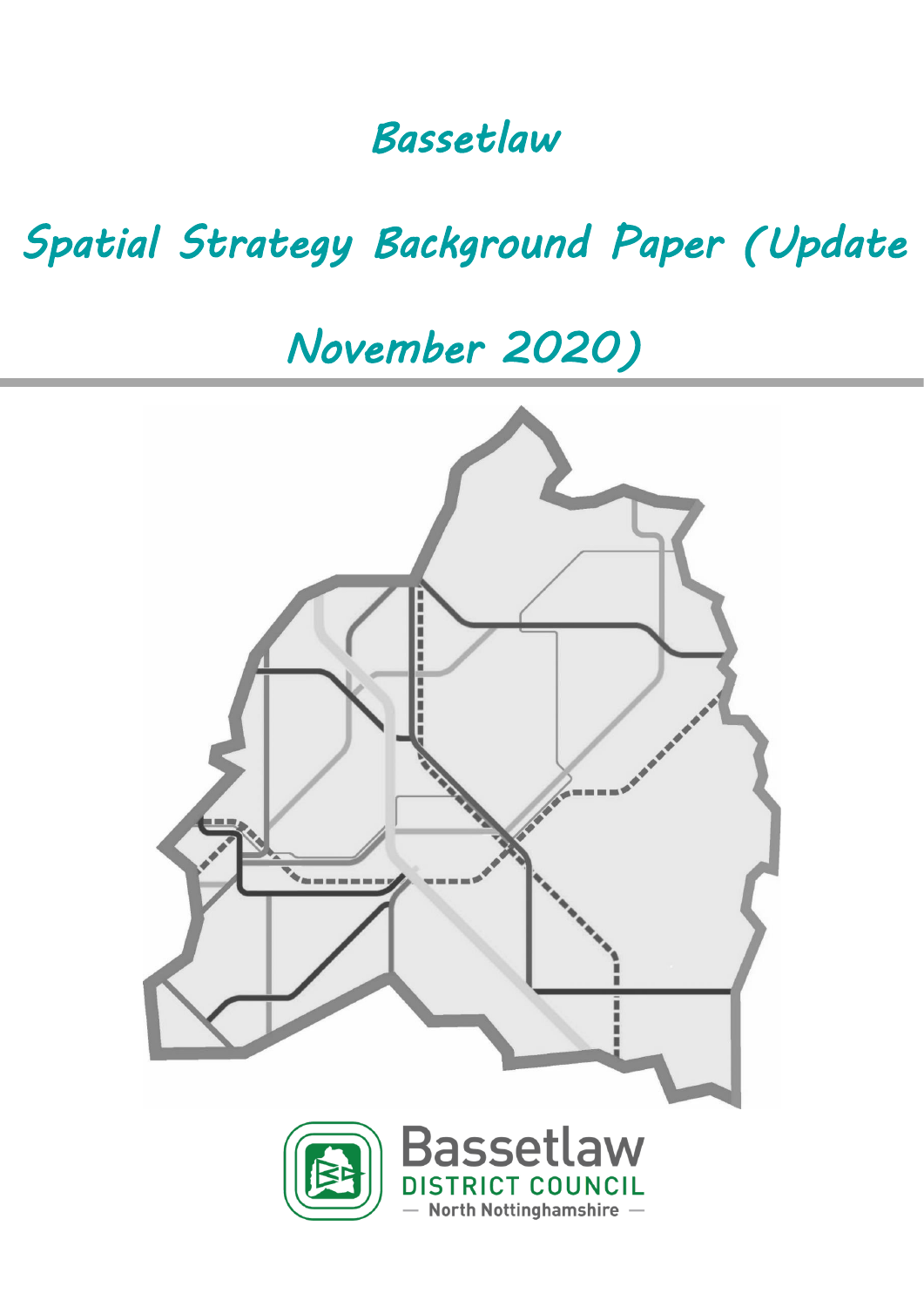# *Bassetlaw*

# *Spatial Strategy Background Paper (Update*

# *November 2020)*

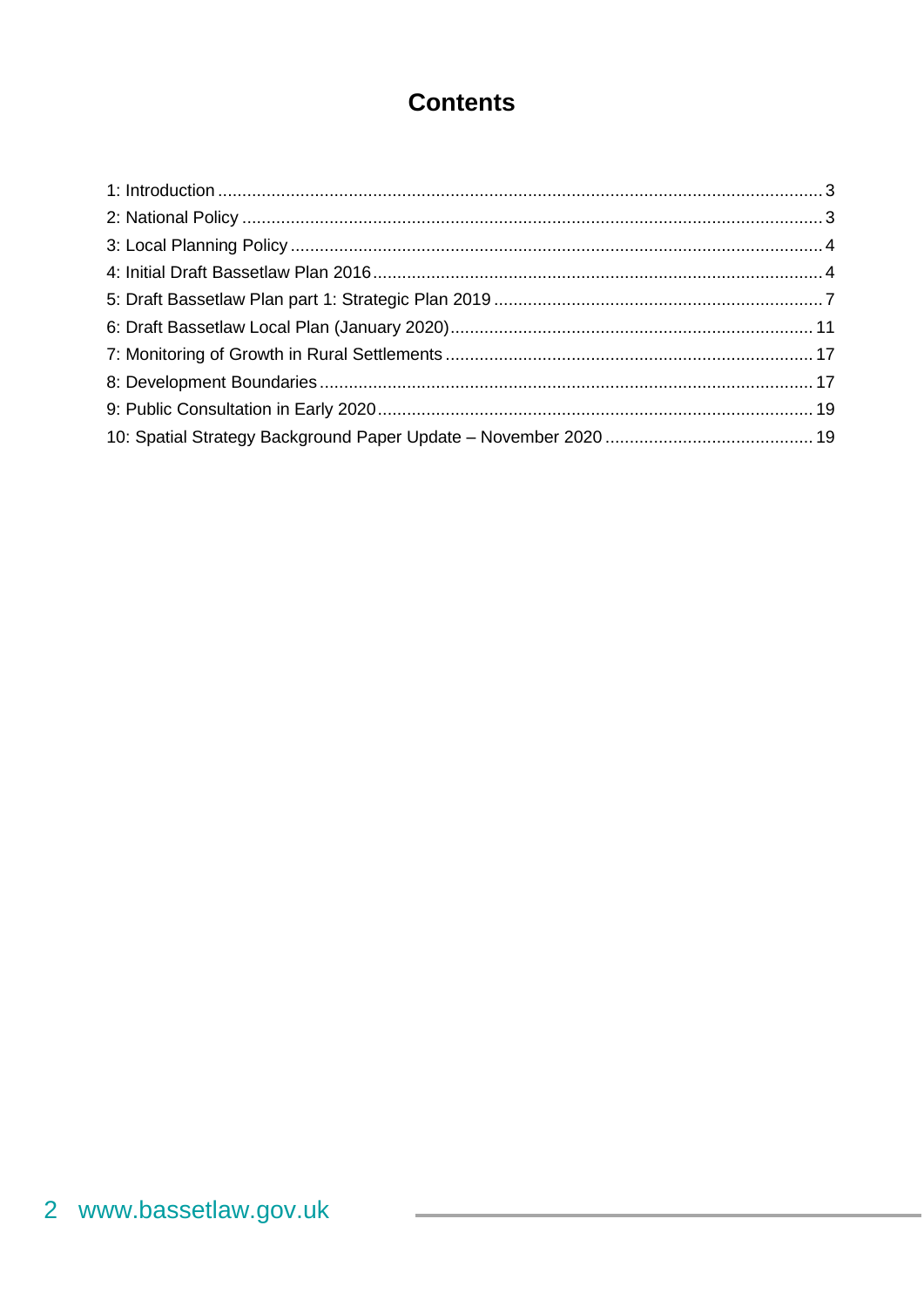### **Contents**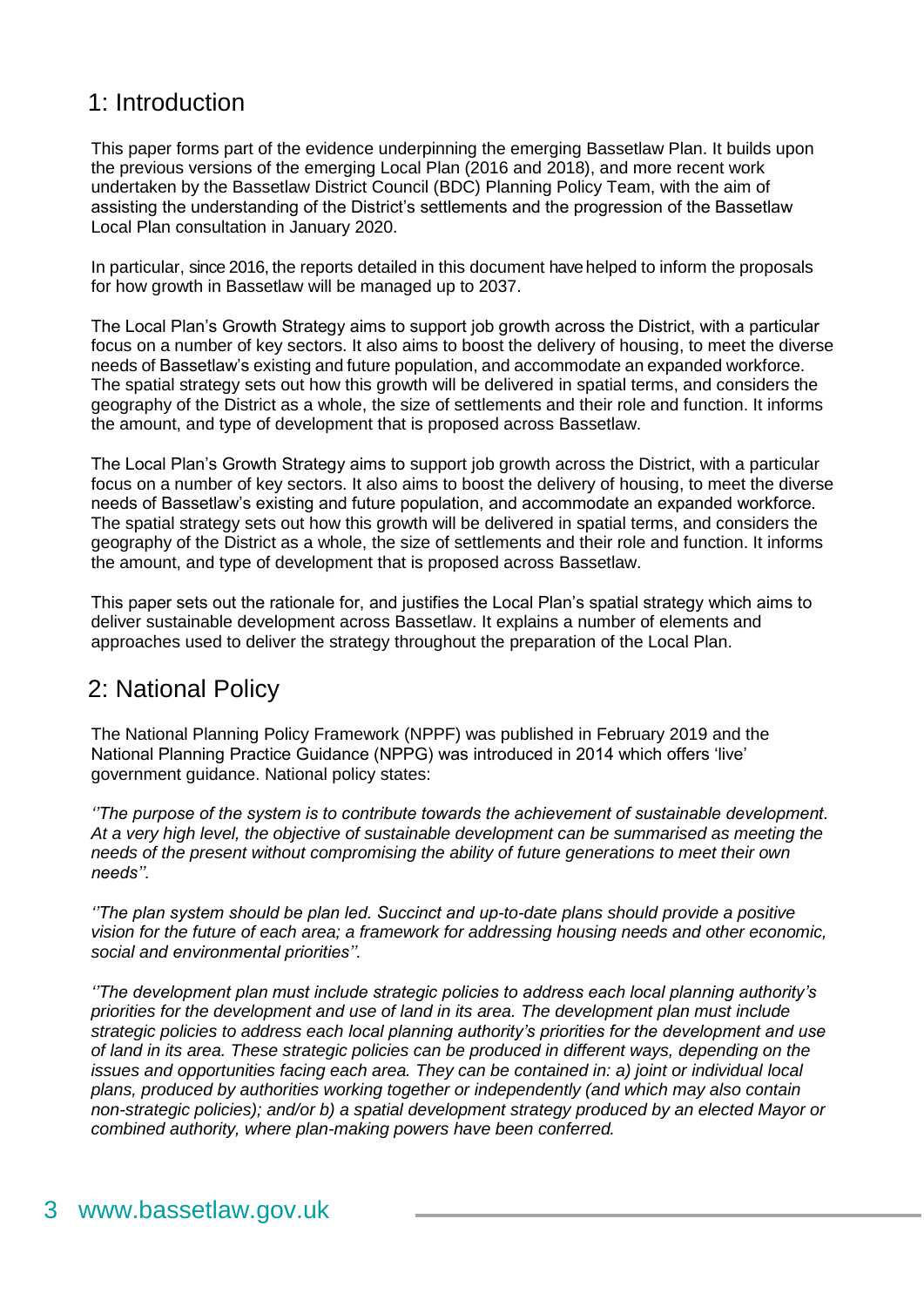### <span id="page-2-0"></span>1: Introduction

This paper forms part of the evidence underpinning the emerging Bassetlaw Plan. It builds upon the previous versions of the emerging Local Plan (2016 and 2018), and more recent work undertaken by the Bassetlaw District Council (BDC) Planning Policy Team, with the aim of assisting the understanding of the District's settlements and the progression of the Bassetlaw Local Plan consultation in January 2020.

In particular, since 2016, the reports detailed in this document have helped to inform the proposals for how growth in Bassetlaw will be managed up to 2037.

The Local Plan's Growth Strategy aims to support job growth across the District, with a particular focus on a number of key sectors. It also aims to boost the delivery of housing, to meet the diverse needs of Bassetlaw's existing and future population, and accommodate an expanded workforce. The spatial strategy sets out how this growth will be delivered in spatial terms, and considers the geography of the District as a whole, the size of settlements and their role and function. It informs the amount, and type of development that is proposed across Bassetlaw.

The Local Plan's Growth Strategy aims to support job growth across the District, with a particular focus on a number of key sectors. It also aims to boost the delivery of housing, to meet the diverse needs of Bassetlaw's existing and future population, and accommodate an expanded workforce. The spatial strategy sets out how this growth will be delivered in spatial terms, and considers the geography of the District as a whole, the size of settlements and their role and function. It informs the amount, and type of development that is proposed across Bassetlaw.

This paper sets out the rationale for, and justifies the Local Plan's spatial strategy which aims to deliver sustainable development across Bassetlaw. It explains a number of elements and approaches used to deliver the strategy throughout the preparation of the Local Plan.

### <span id="page-2-1"></span>2: National Policy

The National Planning Policy Framework (NPPF) was published in February 2019 and the National Planning Practice Guidance (NPPG) was introduced in 2014 which offers 'live' government guidance. National policy states:

*''The purpose of the system is to contribute towards the achievement of sustainable development. At a very high level, the objective of sustainable development can be summarised as meeting the needs of the present without compromising the ability of future generations to meet their own needs''.*

*''The plan system should be plan led. Succinct and up-to-date plans should provide a positive vision for the future of each area; a framework for addressing housing needs and other economic, social and environmental priorities''.*

*''The development plan must include strategic policies to address each local planning authority's priorities for the development and use of land in its area. The development plan must include strategic policies to address each local planning authority's priorities for the development and use of land in its area. These strategic policies can be produced in different ways, depending on the issues and opportunities facing each area. They can be contained in: a) joint or individual local plans, produced by authorities working together or independently (and which may also contain non-strategic policies); and/or b) a spatial development strategy produced by an elected Mayor or combined authority, where plan-making powers have been conferred.*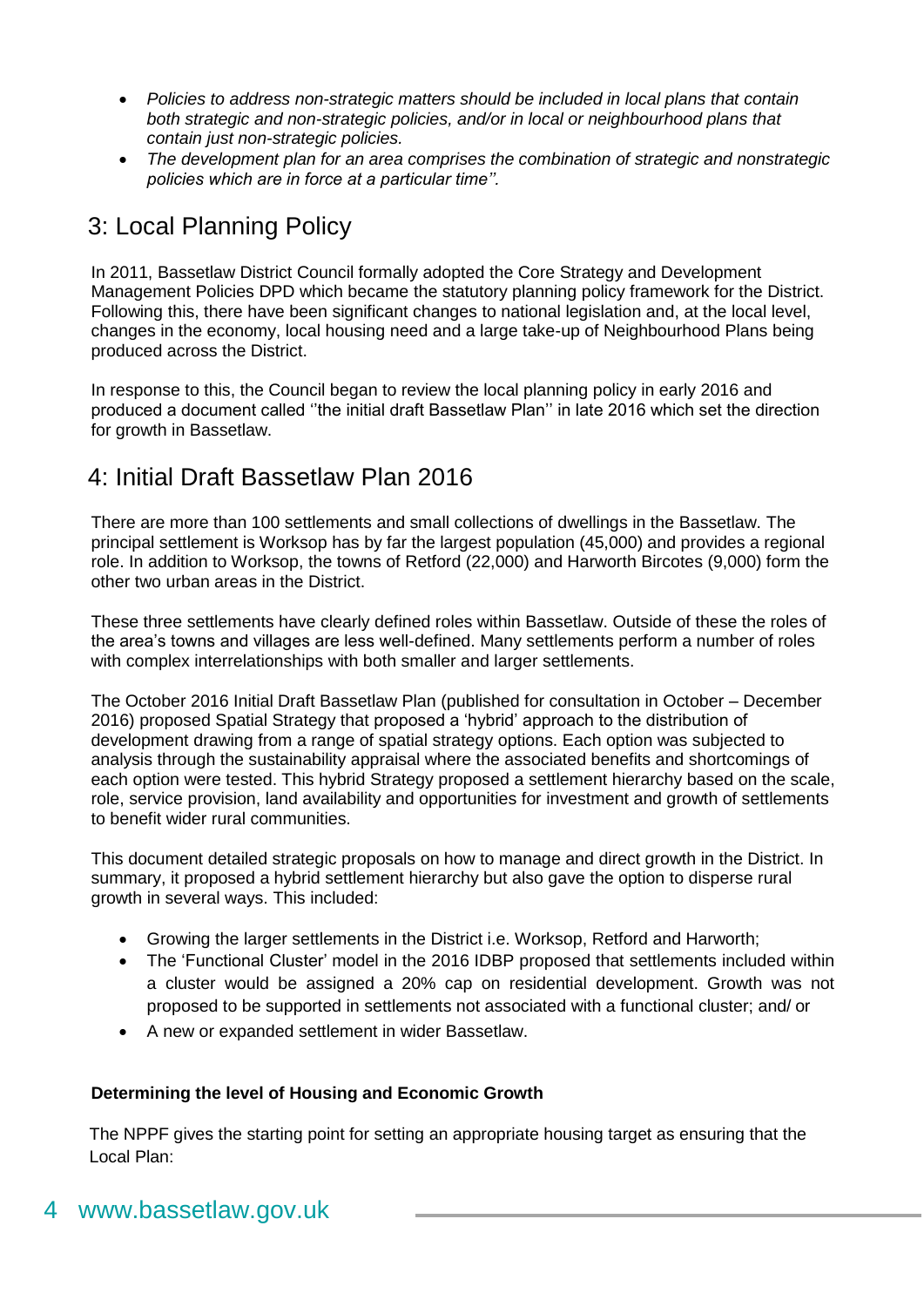- *Policies to address non-strategic matters should be included in local plans that contain both strategic and non-strategic policies, and/or in local or neighbourhood plans that contain just non-strategic policies.*
- *The development plan for an area comprises the combination of strategic and nonstrategic policies which are in force at a particular time''.*

### <span id="page-3-0"></span>3: Local Planning Policy

In 2011, Bassetlaw District Council formally adopted the Core Strategy and Development Management Policies DPD which became the statutory planning policy framework for the District. Following this, there have been significant changes to national legislation and, at the local level, changes in the economy, local housing need and a large take-up of Neighbourhood Plans being produced across the District.

In response to this, the Council began to review the local planning policy in early 2016 and produced a document called ''the initial draft Bassetlaw Plan'' in late 2016 which set the direction for growth in Bassetlaw.

### <span id="page-3-1"></span>4: Initial Draft Bassetlaw Plan 2016

There are more than 100 settlements and small collections of dwellings in the Bassetlaw. The principal settlement is Worksop has by far the largest population (45,000) and provides a regional role. In addition to Worksop, the towns of Retford (22,000) and Harworth Bircotes (9,000) form the other two urban areas in the District.

These three settlements have clearly defined roles within Bassetlaw. Outside of these the roles of the area's towns and villages are less well-defined. Many settlements perform a number of roles with complex interrelationships with both smaller and larger settlements.

The October 2016 Initial Draft Bassetlaw Plan (published for consultation in October – December 2016) proposed Spatial Strategy that proposed a 'hybrid' approach to the distribution of development drawing from a range of spatial strategy options. Each option was subjected to analysis through the sustainability appraisal where the associated benefits and shortcomings of each option were tested. This hybrid Strategy proposed a settlement hierarchy based on the scale, role, service provision, land availability and opportunities for investment and growth of settlements to benefit wider rural communities.

This document detailed strategic proposals on how to manage and direct growth in the District. In summary, it proposed a hybrid settlement hierarchy but also gave the option to disperse rural growth in several ways. This included:

- Growing the larger settlements in the District i.e. Worksop, Retford and Harworth;
- The 'Functional Cluster' model in the 2016 IDBP proposed that settlements included within a cluster would be assigned a 20% cap on residential development. Growth was not proposed to be supported in settlements not associated with a functional cluster; and/ or
- A new or expanded settlement in wider Bassetlaw.

#### **Determining the level of Housing and Economic Growth**

The NPPF gives the starting point for setting an appropriate housing target as ensuring that the Local Plan: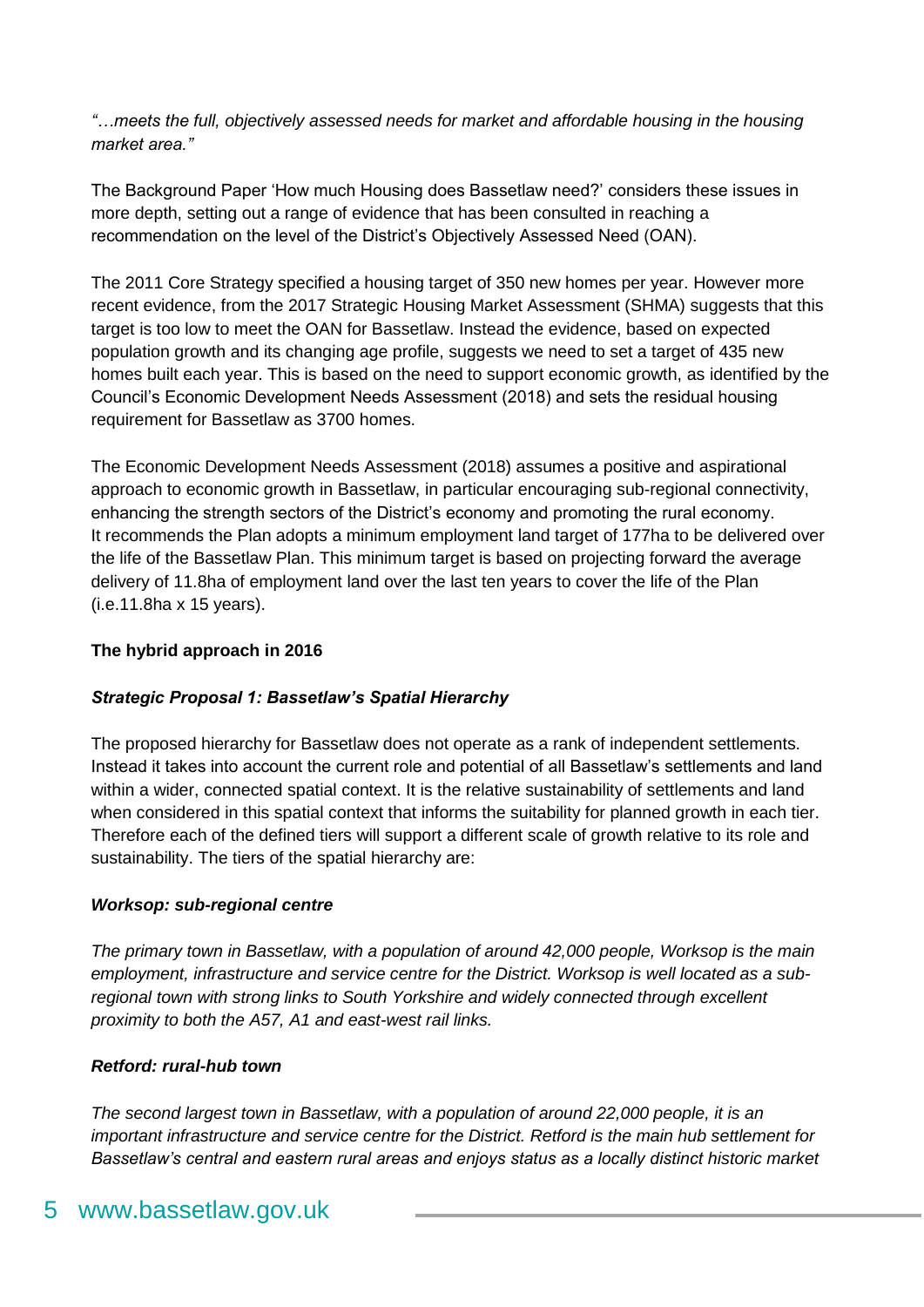*"…meets the full, objectively assessed needs for market and affordable housing in the housing market area."*

The Background Paper 'How much Housing does Bassetlaw need?' considers these issues in more depth, setting out a range of evidence that has been consulted in reaching a recommendation on the level of the District's Objectively Assessed Need (OAN).

The 2011 Core Strategy specified a housing target of 350 new homes per year. However more recent evidence, from the 2017 Strategic Housing Market Assessment (SHMA) suggests that this target is too low to meet the OAN for Bassetlaw. Instead the evidence, based on expected population growth and its changing age profile, suggests we need to set a target of 435 new homes built each year. This is based on the need to support economic growth, as identified by the Council's Economic Development Needs Assessment (2018) and sets the residual housing requirement for Bassetlaw as 3700 homes.

The Economic Development Needs Assessment (2018) assumes a positive and aspirational approach to economic growth in Bassetlaw, in particular encouraging sub-regional connectivity, enhancing the strength sectors of the District's economy and promoting the rural economy. It recommends the Plan adopts a minimum employment land target of 177ha to be delivered over the life of the Bassetlaw Plan. This minimum target is based on projecting forward the average delivery of 11.8ha of employment land over the last ten years to cover the life of the Plan (i.e.11.8ha x 15 years).

#### **The hybrid approach in 2016**

#### *Strategic Proposal 1: Bassetlaw's Spatial Hierarchy*

The proposed hierarchy for Bassetlaw does not operate as a rank of independent settlements. Instead it takes into account the current role and potential of all Bassetlaw's settlements and land within a wider, connected spatial context. It is the relative sustainability of settlements and land when considered in this spatial context that informs the suitability for planned growth in each tier. Therefore each of the defined tiers will support a different scale of growth relative to its role and sustainability. The tiers of the spatial hierarchy are:

#### *Worksop: sub-regional centre*

*The primary town in Bassetlaw, with a population of around 42,000 people, Worksop is the main employment, infrastructure and service centre for the District. Worksop is well located as a subregional town with strong links to South Yorkshire and widely connected through excellent proximity to both the A57, A1 and east-west rail links.*

#### *Retford: rural-hub town*

*The second largest town in Bassetlaw, with a population of around 22,000 people, it is an important infrastructure and service centre for the District. Retford is the main hub settlement for Bassetlaw's central and eastern rural areas and enjoys status as a locally distinct historic market*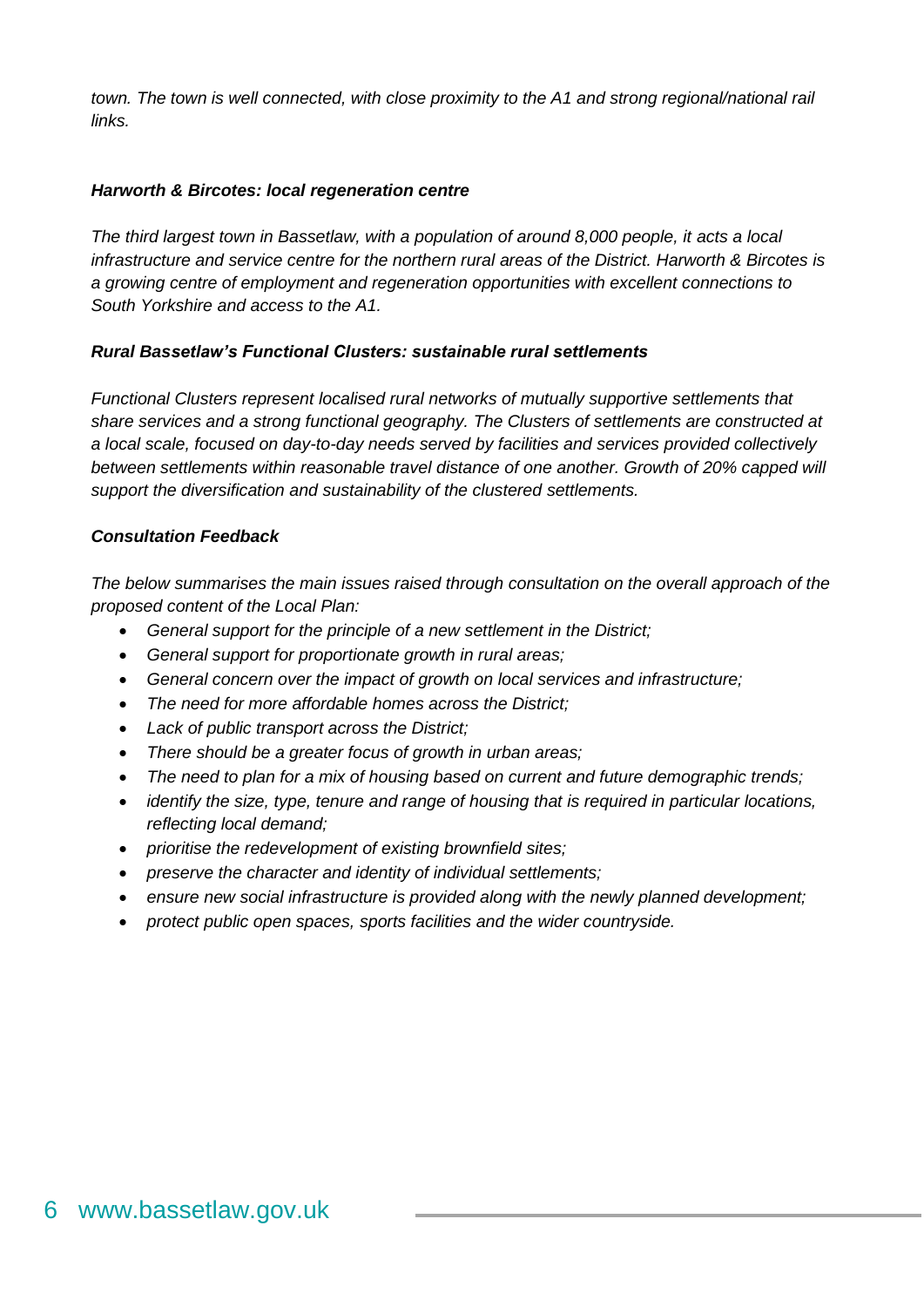*town. The town is well connected, with close proximity to the A1 and strong regional/national rail links.*

#### *Harworth & Bircotes: local regeneration centre*

*The third largest town in Bassetlaw, with a population of around 8,000 people, it acts a local infrastructure and service centre for the northern rural areas of the District. Harworth & Bircotes is a growing centre of employment and regeneration opportunities with excellent connections to South Yorkshire and access to the A1.*

#### *Rural Bassetlaw's Functional Clusters: sustainable rural settlements*

*Functional Clusters represent localised rural networks of mutually supportive settlements that share services and a strong functional geography. The Clusters of settlements are constructed at a local scale, focused on day-to-day needs served by facilities and services provided collectively*  between settlements within reasonable travel distance of one another. Growth of 20% capped will *support the diversification and sustainability of the clustered settlements.*

#### *Consultation Feedback*

*The below summarises the main issues raised through consultation on the overall approach of the proposed content of the Local Plan:*

- *General support for the principle of a new settlement in the District;*
- *General support for proportionate growth in rural areas;*
- *General concern over the impact of growth on local services and infrastructure;*
- *The need for more affordable homes across the District;*
- *Lack of public transport across the District;*
- *There should be a greater focus of growth in urban areas;*
- *The need to plan for a mix of housing based on current and future demographic trends;*
- *identify the size, type, tenure and range of housing that is required in particular locations, reflecting local demand;*
- *prioritise the redevelopment of existing brownfield sites;*
- *preserve the character and identity of individual settlements;*
- *ensure new social infrastructure is provided along with the newly planned development;*
- *protect public open spaces, sports facilities and the wider countryside.*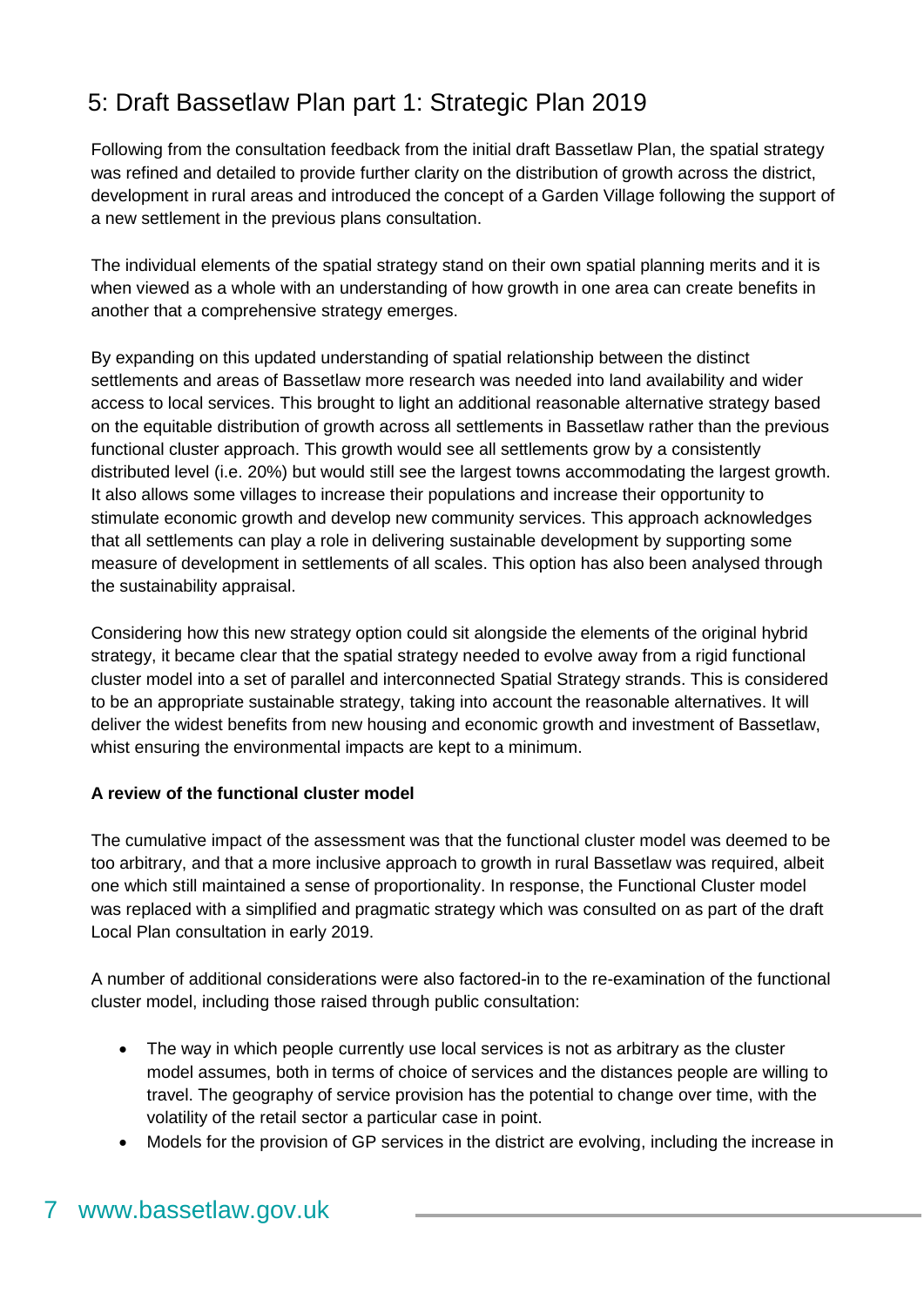### <span id="page-6-0"></span>5: Draft Bassetlaw Plan part 1: Strategic Plan 2019

Following from the consultation feedback from the initial draft Bassetlaw Plan, the spatial strategy was refined and detailed to provide further clarity on the distribution of growth across the district, development in rural areas and introduced the concept of a Garden Village following the support of a new settlement in the previous plans consultation.

The individual elements of the spatial strategy stand on their own spatial planning merits and it is when viewed as a whole with an understanding of how growth in one area can create benefits in another that a comprehensive strategy emerges.

By expanding on this updated understanding of spatial relationship between the distinct settlements and areas of Bassetlaw more research was needed into land availability and wider access to local services. This brought to light an additional reasonable alternative strategy based on the equitable distribution of growth across all settlements in Bassetlaw rather than the previous functional cluster approach. This growth would see all settlements grow by a consistently distributed level (i.e. 20%) but would still see the largest towns accommodating the largest growth. It also allows some villages to increase their populations and increase their opportunity to stimulate economic growth and develop new community services. This approach acknowledges that all settlements can play a role in delivering sustainable development by supporting some measure of development in settlements of all scales. This option has also been analysed through the sustainability appraisal.

Considering how this new strategy option could sit alongside the elements of the original hybrid strategy, it became clear that the spatial strategy needed to evolve away from a rigid functional cluster model into a set of parallel and interconnected Spatial Strategy strands. This is considered to be an appropriate sustainable strategy, taking into account the reasonable alternatives. It will deliver the widest benefits from new housing and economic growth and investment of Bassetlaw, whist ensuring the environmental impacts are kept to a minimum.

#### **A review of the functional cluster model**

The cumulative impact of the assessment was that the functional cluster model was deemed to be too arbitrary, and that a more inclusive approach to growth in rural Bassetlaw was required, albeit one which still maintained a sense of proportionality. In response, the Functional Cluster model was replaced with a simplified and pragmatic strategy which was consulted on as part of the draft Local Plan consultation in early 2019.

A number of additional considerations were also factored-in to the re-examination of the functional cluster model, including those raised through public consultation:

- The way in which people currently use local services is not as arbitrary as the cluster model assumes, both in terms of choice of services and the distances people are willing to travel. The geography of service provision has the potential to change over time, with the volatility of the retail sector a particular case in point.
- Models for the provision of GP services in the district are evolving, including the increase in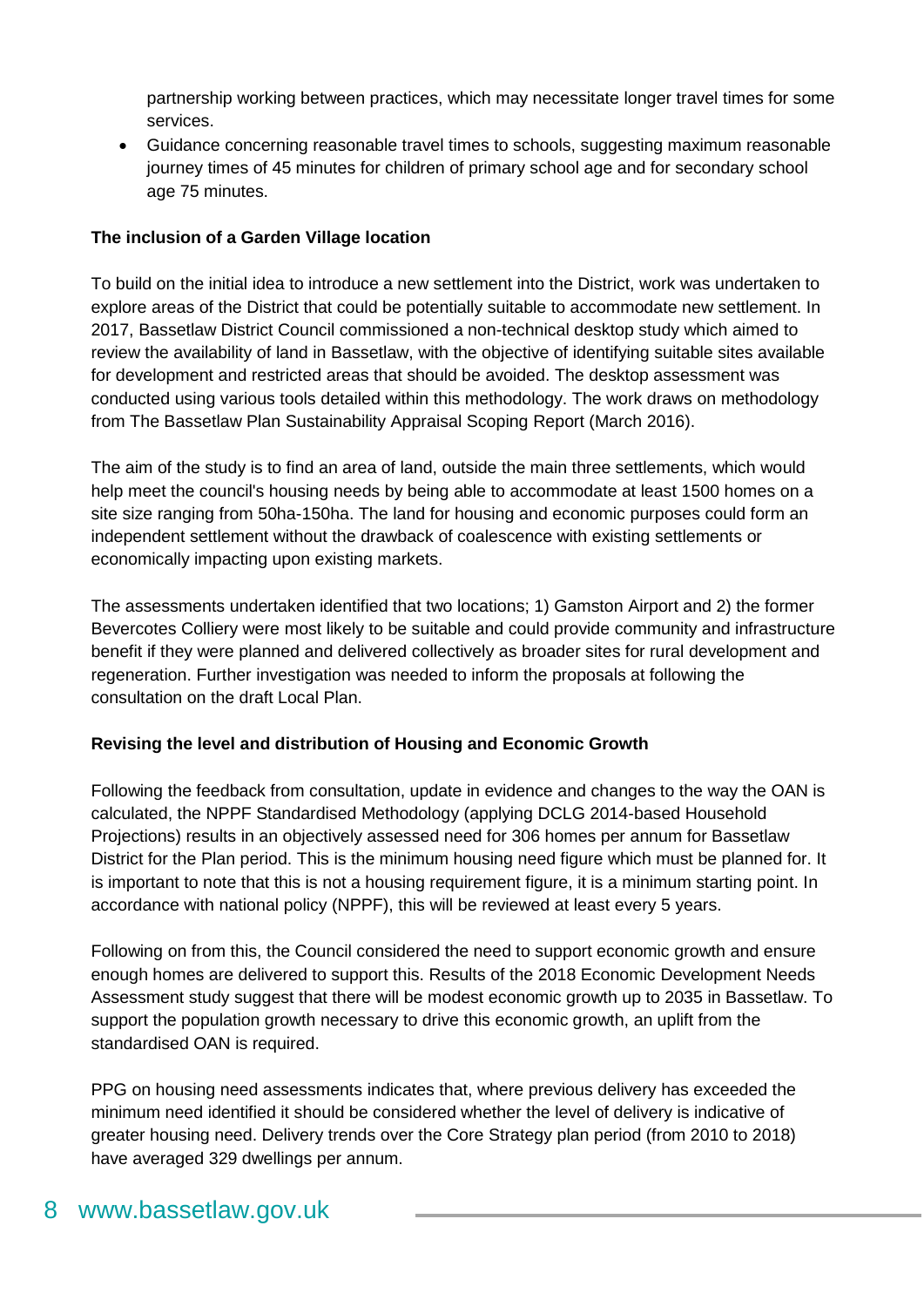partnership working between practices, which may necessitate longer travel times for some services.

 Guidance concerning reasonable travel times to schools, suggesting maximum reasonable journey times of 45 minutes for children of primary school age and for secondary school age 75 minutes.

#### **The inclusion of a Garden Village location**

To build on the initial idea to introduce a new settlement into the District, work was undertaken to explore areas of the District that could be potentially suitable to accommodate new settlement. In 2017, Bassetlaw District Council commissioned a non-technical desktop study which aimed to review the availability of land in Bassetlaw, with the objective of identifying suitable sites available for development and restricted areas that should be avoided. The desktop assessment was conducted using various tools detailed within this methodology. The work draws on methodology from The Bassetlaw Plan Sustainability Appraisal Scoping Report (March 2016).

The aim of the study is to find an area of land, outside the main three settlements, which would help meet the council's housing needs by being able to accommodate at least 1500 homes on a site size ranging from 50ha-150ha. The land for housing and economic purposes could form an independent settlement without the drawback of coalescence with existing settlements or economically impacting upon existing markets.

The assessments undertaken identified that two locations; 1) Gamston Airport and 2) the former Bevercotes Colliery were most likely to be suitable and could provide community and infrastructure benefit if they were planned and delivered collectively as broader sites for rural development and regeneration. Further investigation was needed to inform the proposals at following the consultation on the draft Local Plan.

#### **Revising the level and distribution of Housing and Economic Growth**

Following the feedback from consultation, update in evidence and changes to the way the OAN is calculated, the NPPF Standardised Methodology (applying DCLG 2014-based Household Projections) results in an objectively assessed need for 306 homes per annum for Bassetlaw District for the Plan period. This is the minimum housing need figure which must be planned for. It is important to note that this is not a housing requirement figure, it is a minimum starting point. In accordance with national policy (NPPF), this will be reviewed at least every 5 years.

Following on from this, the Council considered the need to support economic growth and ensure enough homes are delivered to support this. Results of the 2018 Economic Development Needs Assessment study suggest that there will be modest economic growth up to 2035 in Bassetlaw. To support the population growth necessary to drive this economic growth, an uplift from the standardised OAN is required.

PPG on housing need assessments indicates that, where previous delivery has exceeded the minimum need identified it should be considered whether the level of delivery is indicative of greater housing need. Delivery trends over the Core Strategy plan period (from 2010 to 2018) have averaged 329 dwellings per annum.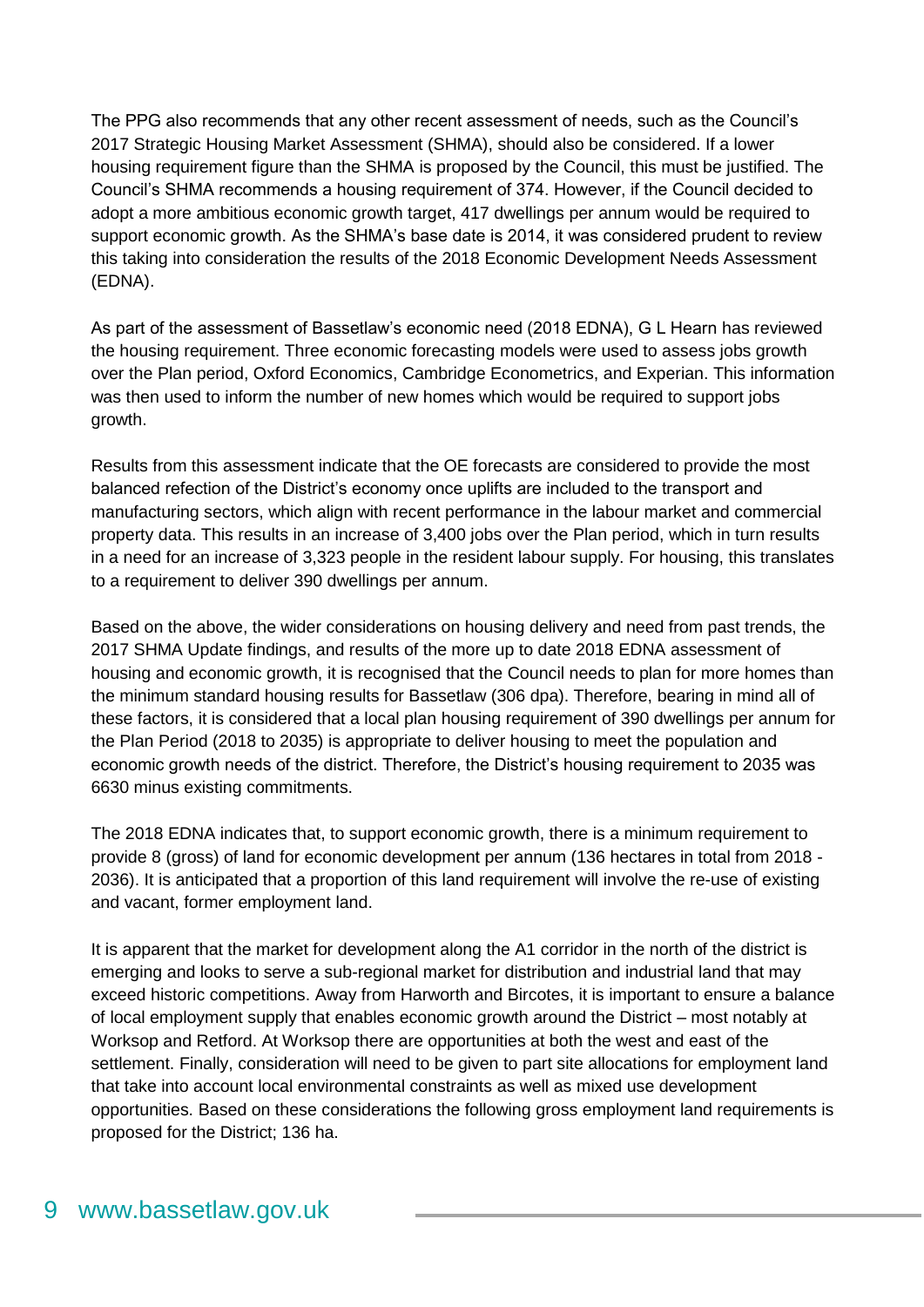The PPG also recommends that any other recent assessment of needs, such as the Council's 2017 Strategic Housing Market Assessment (SHMA), should also be considered. If a lower housing requirement figure than the SHMA is proposed by the Council, this must be justified. The Council's SHMA recommends a housing requirement of 374. However, if the Council decided to adopt a more ambitious economic growth target, 417 dwellings per annum would be required to support economic growth. As the SHMA's base date is 2014, it was considered prudent to review this taking into consideration the results of the 2018 Economic Development Needs Assessment (EDNA).

As part of the assessment of Bassetlaw's economic need (2018 EDNA), G L Hearn has reviewed the housing requirement. Three economic forecasting models were used to assess jobs growth over the Plan period, Oxford Economics, Cambridge Econometrics, and Experian. This information was then used to inform the number of new homes which would be required to support jobs growth.

Results from this assessment indicate that the OE forecasts are considered to provide the most balanced refection of the District's economy once uplifts are included to the transport and manufacturing sectors, which align with recent performance in the labour market and commercial property data. This results in an increase of 3,400 jobs over the Plan period, which in turn results in a need for an increase of 3,323 people in the resident labour supply. For housing, this translates to a requirement to deliver 390 dwellings per annum.

Based on the above, the wider considerations on housing delivery and need from past trends, the 2017 SHMA Update findings, and results of the more up to date 2018 EDNA assessment of housing and economic growth, it is recognised that the Council needs to plan for more homes than the minimum standard housing results for Bassetlaw (306 dpa). Therefore, bearing in mind all of these factors, it is considered that a local plan housing requirement of 390 dwellings per annum for the Plan Period (2018 to 2035) is appropriate to deliver housing to meet the population and economic growth needs of the district. Therefore, the District's housing requirement to 2035 was 6630 minus existing commitments.

The 2018 EDNA indicates that, to support economic growth, there is a minimum requirement to provide 8 (gross) of land for economic development per annum (136 hectares in total from 2018 - 2036). It is anticipated that a proportion of this land requirement will involve the re-use of existing and vacant, former employment land.

It is apparent that the market for development along the A1 corridor in the north of the district is emerging and looks to serve a sub-regional market for distribution and industrial land that may exceed historic competitions. Away from Harworth and Bircotes, it is important to ensure a balance of local employment supply that enables economic growth around the District – most notably at Worksop and Retford. At Worksop there are opportunities at both the west and east of the settlement. Finally, consideration will need to be given to part site allocations for employment land that take into account local environmental constraints as well as mixed use development opportunities. Based on these considerations the following gross employment land requirements is proposed for the District; 136 ha.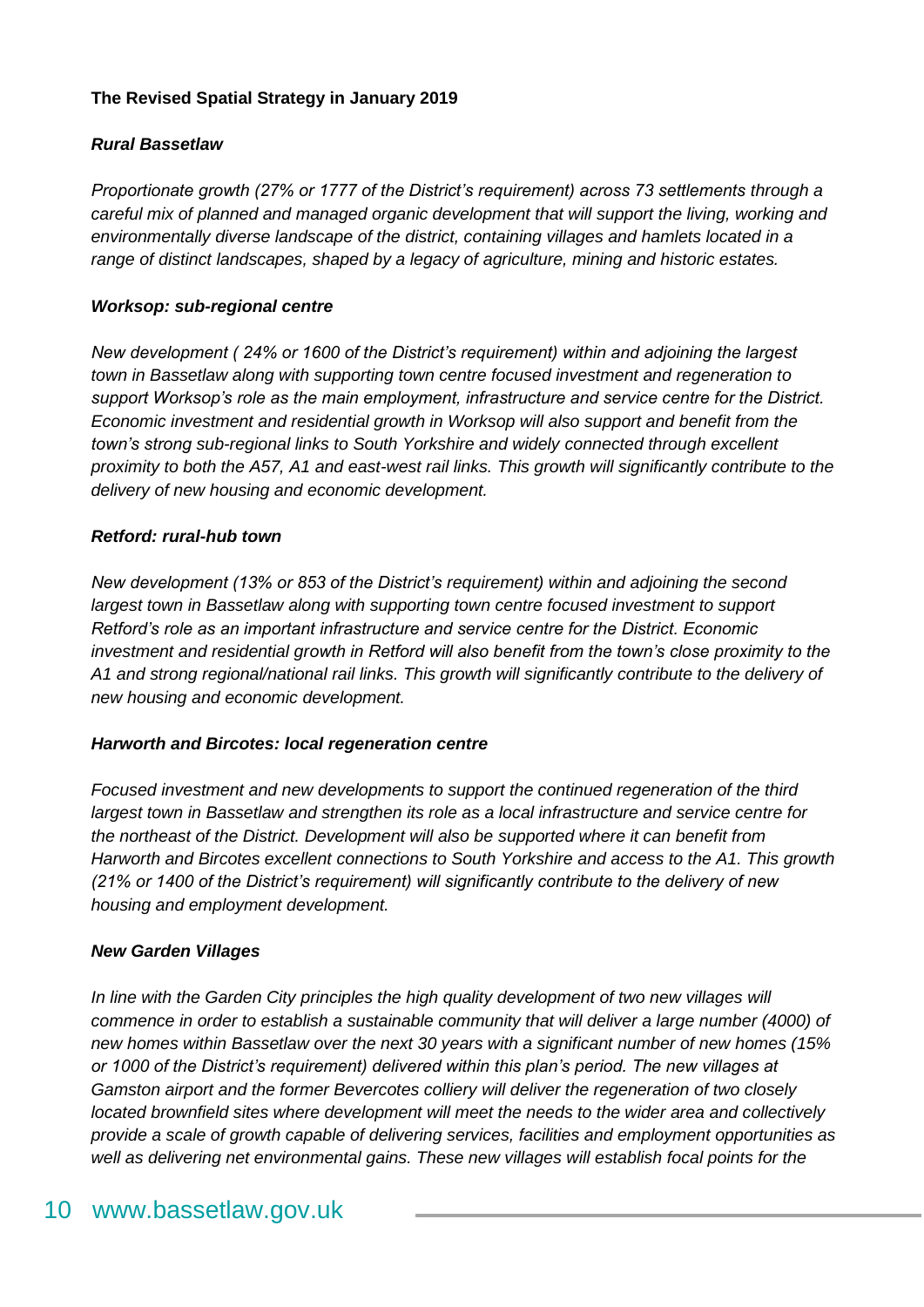#### **The Revised Spatial Strategy in January 2019**

#### *Rural Bassetlaw*

*Proportionate growth (27% or 1777 of the District's requirement) across 73 settlements through a careful mix of planned and managed organic development that will support the living, working and environmentally diverse landscape of the district, containing villages and hamlets located in a range of distinct landscapes, shaped by a legacy of agriculture, mining and historic estates.*

#### *Worksop: sub-regional centre*

*New development ( 24% or 1600 of the District's requirement) within and adjoining the largest town in Bassetlaw along with supporting town centre focused investment and regeneration to support Worksop's role as the main employment, infrastructure and service centre for the District. Economic investment and residential growth in Worksop will also support and benefit from the town's strong sub-regional links to South Yorkshire and widely connected through excellent proximity to both the A57, A1 and east-west rail links. This growth will significantly contribute to the delivery of new housing and economic development.*

#### *Retford: rural-hub town*

*New development (13% or 853 of the District's requirement) within and adjoining the second largest town in Bassetlaw along with supporting town centre focused investment to support Retford's role as an important infrastructure and service centre for the District. Economic investment and residential growth in Retford will also benefit from the town's close proximity to the A1 and strong regional/national rail links. This growth will significantly contribute to the delivery of new housing and economic development.*

#### *Harworth and Bircotes: local regeneration centre*

*Focused investment and new developments to support the continued regeneration of the third largest town in Bassetlaw and strengthen its role as a local infrastructure and service centre for the northeast of the District. Development will also be supported where it can benefit from Harworth and Bircotes excellent connections to South Yorkshire and access to the A1. This growth (21% or 1400 of the District's requirement) will significantly contribute to the delivery of new housing and employment development.*

#### *New Garden Villages*

In line with the Garden City principles the high quality development of two new villages will *commence in order to establish a sustainable community that will deliver a large number (4000) of new homes within Bassetlaw over the next 30 years with a significant number of new homes (15% or 1000 of the District's requirement) delivered within this plan's period. The new villages at Gamston airport and the former Bevercotes colliery will deliver the regeneration of two closely located brownfield sites where development will meet the needs to the wider area and collectively provide a scale of growth capable of delivering services, facilities and employment opportunities as well as delivering net environmental gains. These new villages will establish focal points for the*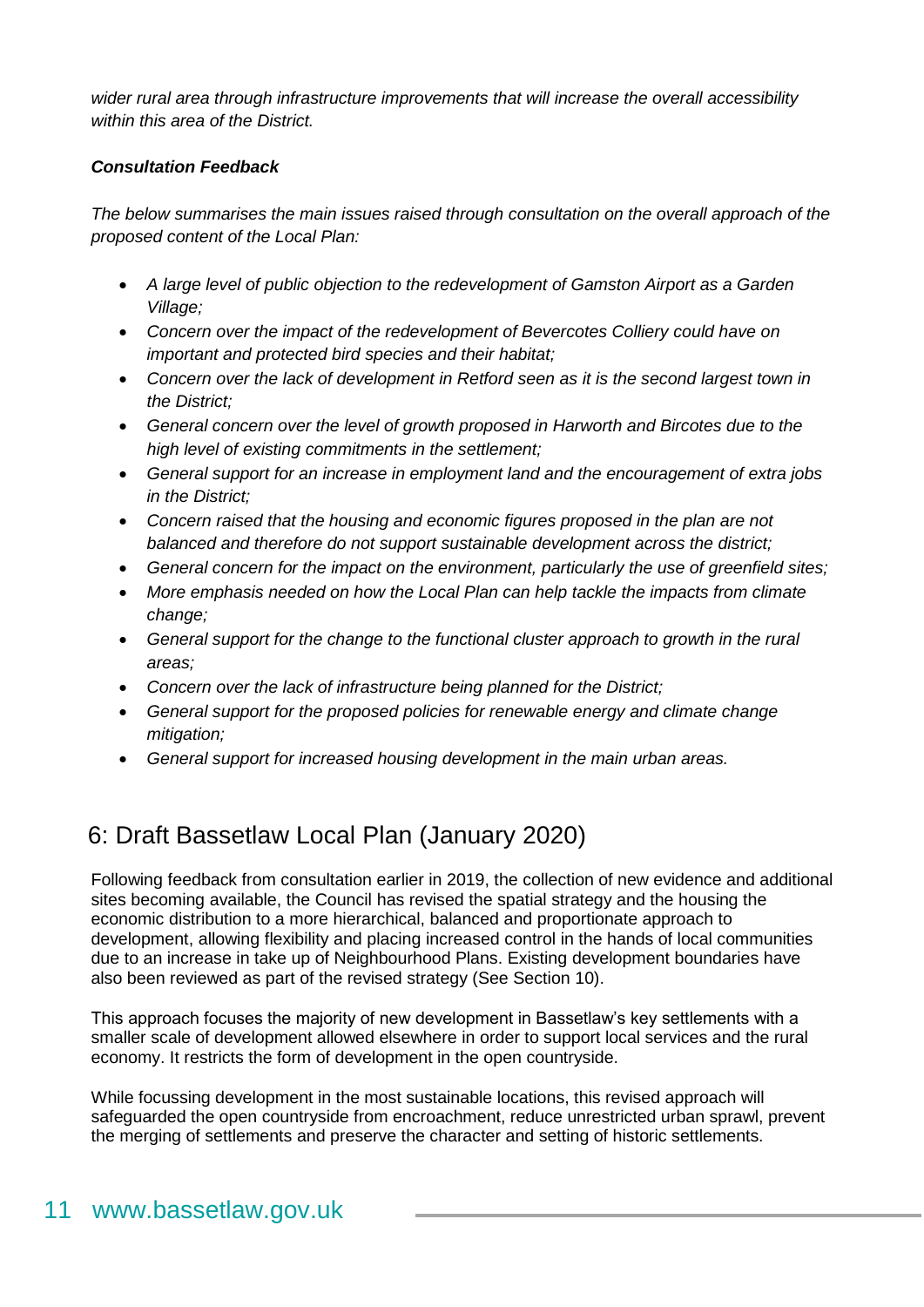*wider rural area through infrastructure improvements that will increase the overall accessibility within this area of the District.*

#### *Consultation Feedback*

*The below summarises the main issues raised through consultation on the overall approach of the proposed content of the Local Plan:*

- *A large level of public objection to the redevelopment of Gamston Airport as a Garden Village;*
- *Concern over the impact of the redevelopment of Bevercotes Colliery could have on important and protected bird species and their habitat;*
- *Concern over the lack of development in Retford seen as it is the second largest town in the District;*
- *General concern over the level of growth proposed in Harworth and Bircotes due to the high level of existing commitments in the settlement;*
- *General support for an increase in employment land and the encouragement of extra jobs in the District;*
- *Concern raised that the housing and economic figures proposed in the plan are not balanced and therefore do not support sustainable development across the district;*
- *General concern for the impact on the environment, particularly the use of greenfield sites;*
- *More emphasis needed on how the Local Plan can help tackle the impacts from climate change;*
- *General support for the change to the functional cluster approach to growth in the rural areas;*
- *Concern over the lack of infrastructure being planned for the District;*
- *General support for the proposed policies for renewable energy and climate change mitigation;*
- *General support for increased housing development in the main urban areas.*

### <span id="page-10-0"></span>6: Draft Bassetlaw Local Plan (January 2020)

Following feedback from consultation earlier in 2019, the collection of new evidence and additional sites becoming available, the Council has revised the spatial strategy and the housing the economic distribution to a more hierarchical, balanced and proportionate approach to development, allowing flexibility and placing increased control in the hands of local communities due to an increase in take up of Neighbourhood Plans. Existing development boundaries have also been reviewed as part of the revised strategy (See Section 10).

This approach focuses the majority of new development in Bassetlaw's key settlements with a smaller scale of development allowed elsewhere in order to support local services and the rural economy. It restricts the form of development in the open countryside.

While focussing development in the most sustainable locations, this revised approach will safeguarded the open countryside from encroachment, reduce unrestricted urban sprawl, prevent the merging of settlements and preserve the character and setting of historic settlements.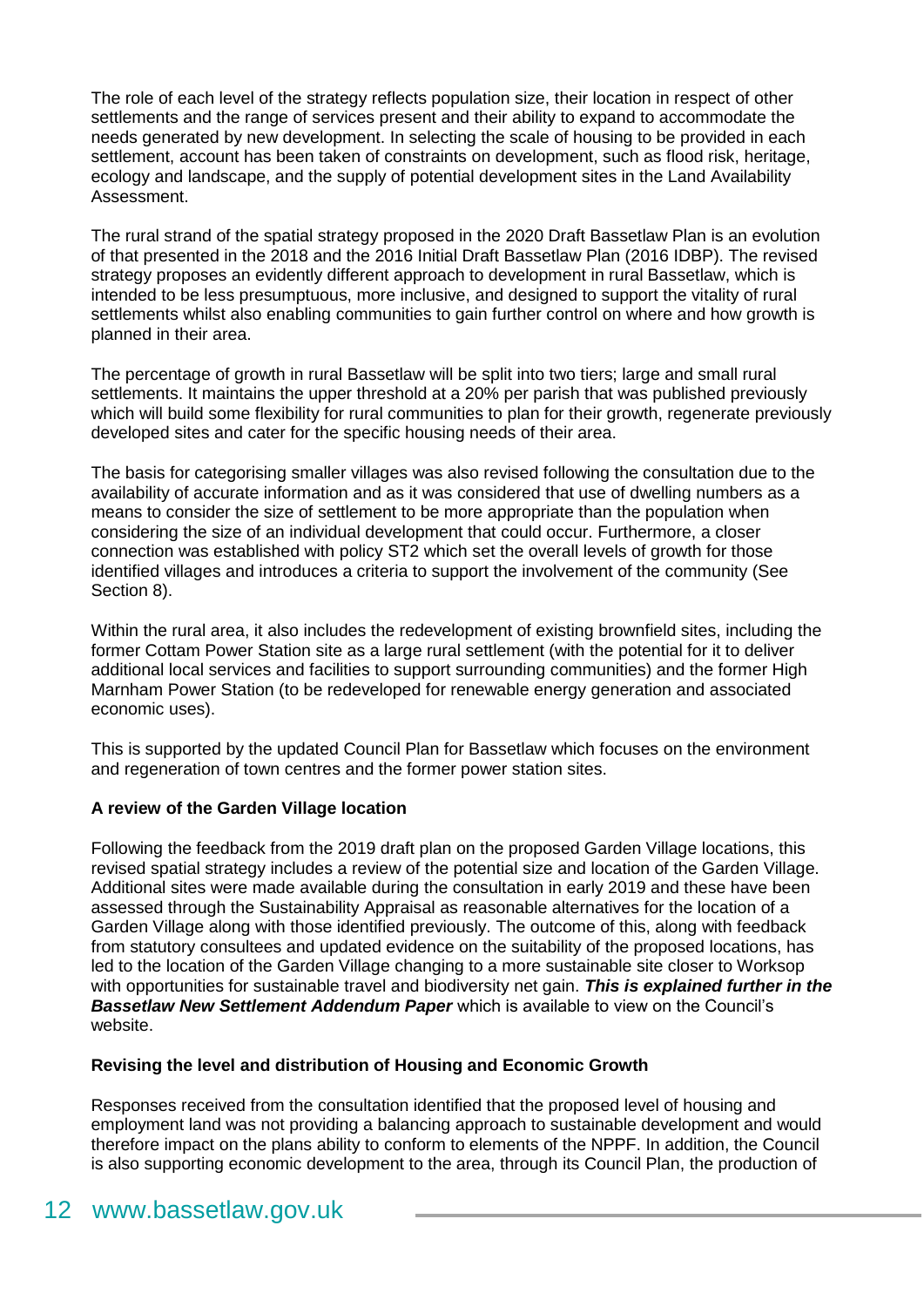The role of each level of the strategy reflects population size, their location in respect of other settlements and the range of services present and their ability to expand to accommodate the needs generated by new development. In selecting the scale of housing to be provided in each settlement, account has been taken of constraints on development, such as flood risk, heritage, ecology and landscape, and the supply of potential development sites in the Land Availability Assessment.

The rural strand of the spatial strategy proposed in the 2020 Draft Bassetlaw Plan is an evolution of that presented in the 2018 and the 2016 Initial Draft Bassetlaw Plan (2016 IDBP). The revised strategy proposes an evidently different approach to development in rural Bassetlaw, which is intended to be less presumptuous, more inclusive, and designed to support the vitality of rural settlements whilst also enabling communities to gain further control on where and how growth is planned in their area.

The percentage of growth in rural Bassetlaw will be split into two tiers; large and small rural settlements. It maintains the upper threshold at a 20% per parish that was published previously which will build some flexibility for rural communities to plan for their growth, regenerate previously developed sites and cater for the specific housing needs of their area.

The basis for categorising smaller villages was also revised following the consultation due to the availability of accurate information and as it was considered that use of dwelling numbers as a means to consider the size of settlement to be more appropriate than the population when considering the size of an individual development that could occur. Furthermore, a closer connection was established with policy ST2 which set the overall levels of growth for those identified villages and introduces a criteria to support the involvement of the community (See Section 8).

Within the rural area, it also includes the redevelopment of existing brownfield sites, including the former Cottam Power Station site as a large rural settlement (with the potential for it to deliver additional local services and facilities to support surrounding communities) and the former High Marnham Power Station (to be redeveloped for renewable energy generation and associated economic uses).

This is supported by the updated Council Plan for Bassetlaw which focuses on the environment and regeneration of town centres and the former power station sites.

#### **A review of the Garden Village location**

Following the feedback from the 2019 draft plan on the proposed Garden Village locations, this revised spatial strategy includes a review of the potential size and location of the Garden Village. Additional sites were made available during the consultation in early 2019 and these have been assessed through the Sustainability Appraisal as reasonable alternatives for the location of a Garden Village along with those identified previously. The outcome of this, along with feedback from statutory consultees and updated evidence on the suitability of the proposed locations, has led to the location of the Garden Village changing to a more sustainable site closer to Worksop with opportunities for sustainable travel and biodiversity net gain. *This is explained further in the Bassetlaw New Settlement Addendum Paper* which is available to view on the Council's website.

#### **Revising the level and distribution of Housing and Economic Growth**

Responses received from the consultation identified that the proposed level of housing and employment land was not providing a balancing approach to sustainable development and would therefore impact on the plans ability to conform to elements of the NPPF. In addition, the Council is also supporting economic development to the area, through its Council Plan, the production of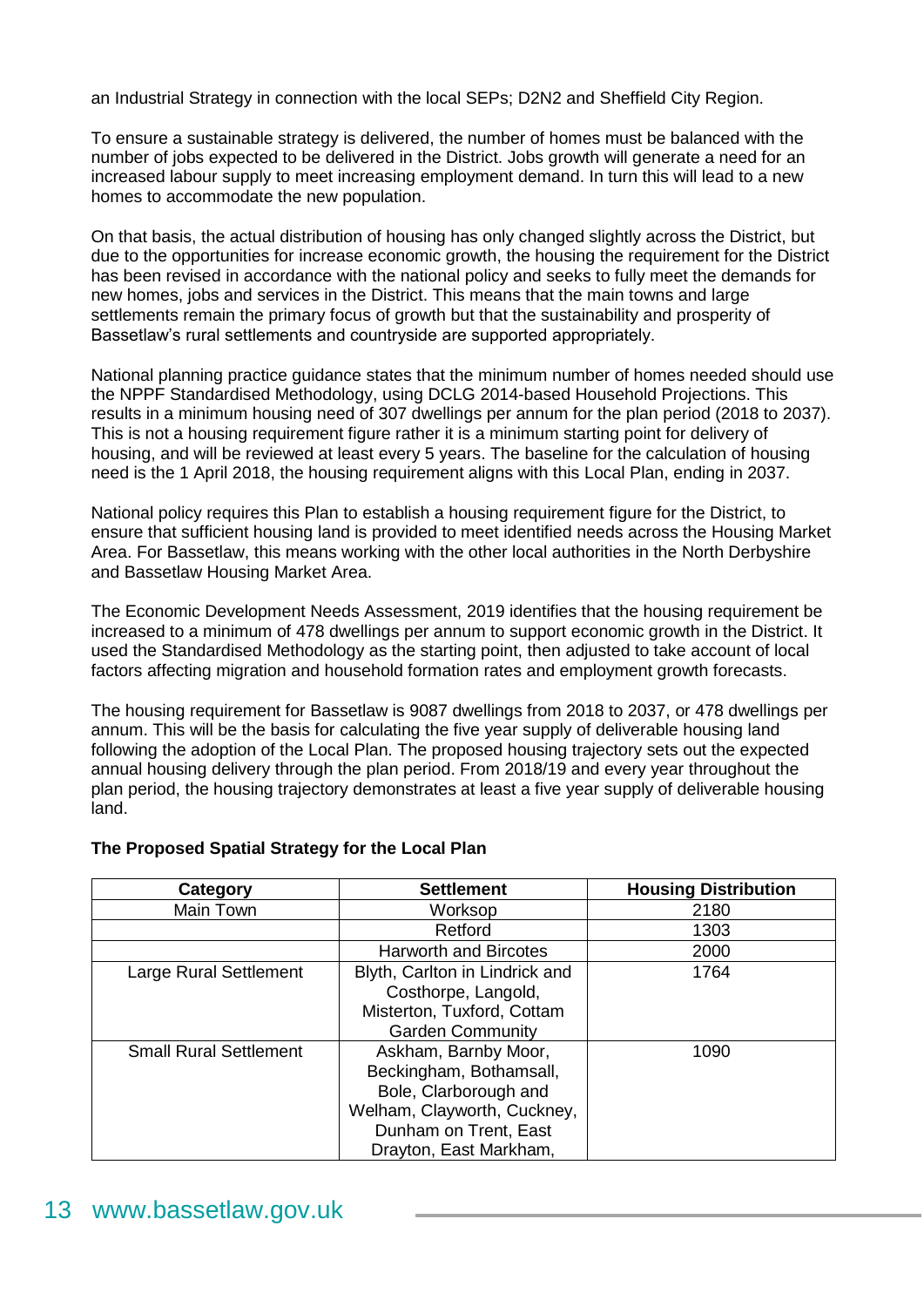an Industrial Strategy in connection with the local SEPs; D2N2 and Sheffield City Region.

To ensure a sustainable strategy is delivered, the number of homes must be balanced with the number of jobs expected to be delivered in the District. Jobs growth will generate a need for an increased labour supply to meet increasing employment demand. In turn this will lead to a new homes to accommodate the new population.

On that basis, the actual distribution of housing has only changed slightly across the District, but due to the opportunities for increase economic growth, the housing the requirement for the District has been revised in accordance with the national policy and seeks to fully meet the demands for new homes, jobs and services in the District. This means that the main towns and large settlements remain the primary focus of growth but that the sustainability and prosperity of Bassetlaw's rural settlements and countryside are supported appropriately.

National planning practice guidance states that the minimum number of homes needed should use the NPPF Standardised Methodology, using DCLG 2014-based Household Projections. This results in a minimum housing need of 307 dwellings per annum for the plan period (2018 to 2037). This is not a housing requirement figure rather it is a minimum starting point for delivery of housing, and will be reviewed at least every 5 years. The baseline for the calculation of housing need is the 1 April 2018, the housing requirement aligns with this Local Plan, ending in 2037.

National policy requires this Plan to establish a housing requirement figure for the District, to ensure that sufficient housing land is provided to meet identified needs across the Housing Market Area. For Bassetlaw, this means working with the other local authorities in the North Derbyshire and Bassetlaw Housing Market Area.

The Economic Development Needs Assessment, 2019 identifies that the housing requirement be increased to a minimum of 478 dwellings per annum to support economic growth in the District. It used the Standardised Methodology as the starting point, then adjusted to take account of local factors affecting migration and household formation rates and employment growth forecasts.

The housing requirement for Bassetlaw is 9087 dwellings from 2018 to 2037, or 478 dwellings per annum. This will be the basis for calculating the five year supply of deliverable housing land following the adoption of the Local Plan. The proposed housing trajectory sets out the expected annual housing delivery through the plan period. From 2018/19 and every year throughout the plan period, the housing trajectory demonstrates at least a five year supply of deliverable housing land.

| Category                      | <b>Settlement</b>                                                                                                                                          | <b>Housing Distribution</b> |
|-------------------------------|------------------------------------------------------------------------------------------------------------------------------------------------------------|-----------------------------|
| Main Town                     | Worksop                                                                                                                                                    | 2180                        |
|                               | Retford                                                                                                                                                    | 1303                        |
|                               | <b>Harworth and Bircotes</b>                                                                                                                               | 2000                        |
| Large Rural Settlement        | Blyth, Carlton in Lindrick and<br>Costhorpe, Langold,<br>Misterton, Tuxford, Cottam<br><b>Garden Community</b>                                             | 1764                        |
| <b>Small Rural Settlement</b> | Askham, Barnby Moor,<br>Beckingham, Bothamsall,<br>Bole, Clarborough and<br>Welham, Clayworth, Cuckney,<br>Dunham on Trent, East<br>Drayton, East Markham, | 1090                        |

#### **The Proposed Spatial Strategy for the Local Plan**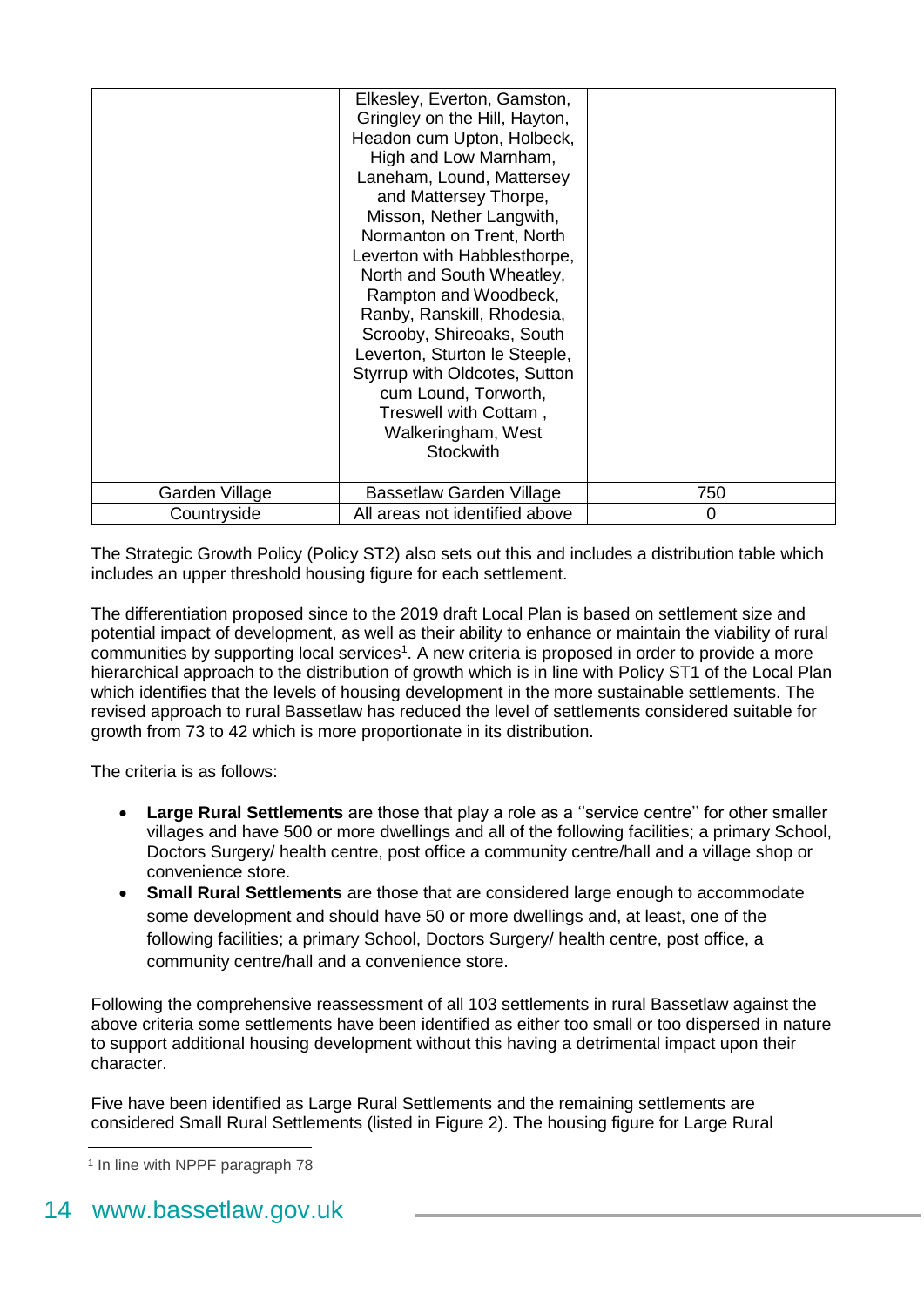|                | Elkesley, Everton, Gamston,<br>Gringley on the Hill, Hayton,<br>Headon cum Upton, Holbeck,<br>High and Low Marnham,<br>Laneham, Lound, Mattersey<br>and Mattersey Thorpe,<br>Misson, Nether Langwith,<br>Normanton on Trent, North<br>Leverton with Habblesthorpe,<br>North and South Wheatley,<br>Rampton and Woodbeck,<br>Ranby, Ranskill, Rhodesia,<br>Scrooby, Shireoaks, South<br>Leverton, Sturton le Steeple,<br>Styrrup with Oldcotes, Sutton<br>cum Lound, Torworth,<br>Treswell with Cottam,<br>Walkeringham, West<br><b>Stockwith</b> |     |
|----------------|--------------------------------------------------------------------------------------------------------------------------------------------------------------------------------------------------------------------------------------------------------------------------------------------------------------------------------------------------------------------------------------------------------------------------------------------------------------------------------------------------------------------------------------------------|-----|
| Garden Village | Bassetlaw Garden Village                                                                                                                                                                                                                                                                                                                                                                                                                                                                                                                         | 750 |
| Countryside    | All areas not identified above                                                                                                                                                                                                                                                                                                                                                                                                                                                                                                                   | 0   |

The Strategic Growth Policy (Policy ST2) also sets out this and includes a distribution table which includes an upper threshold housing figure for each settlement.

The differentiation proposed since to the 2019 draft Local Plan is based on settlement size and potential impact of development, as well as their ability to enhance or maintain the viability of rural communities by supporting local services<sup>1</sup>. A new criteria is proposed in order to provide a more hierarchical approach to the distribution of growth which is in line with Policy ST1 of the Local Plan which identifies that the levels of housing development in the more sustainable settlements. The revised approach to rural Bassetlaw has reduced the level of settlements considered suitable for growth from 73 to 42 which is more proportionate in its distribution.

The criteria is as follows:

- **Large Rural Settlements** are those that play a role as a ''service centre'' for other smaller villages and have 500 or more dwellings and all of the following facilities; a primary School, Doctors Surgery/ health centre, post office a community centre/hall and a village shop or convenience store.
- **Small Rural Settlements** are those that are considered large enough to accommodate some development and should have 50 or more dwellings and, at least, one of the following facilities; a primary School, Doctors Surgery/ health centre, post office, a community centre/hall and a convenience store.

Following the comprehensive reassessment of all 103 settlements in rural Bassetlaw against the above criteria some settlements have been identified as either too small or too dispersed in nature to support additional housing development without this having a detrimental impact upon their character.

Five have been identified as Large Rural Settlements and the remaining settlements are considered Small Rural Settlements (listed in Figure 2). The housing figure for Large Rural

<sup>1</sup> <sup>1</sup> In line with NPPF paragraph 78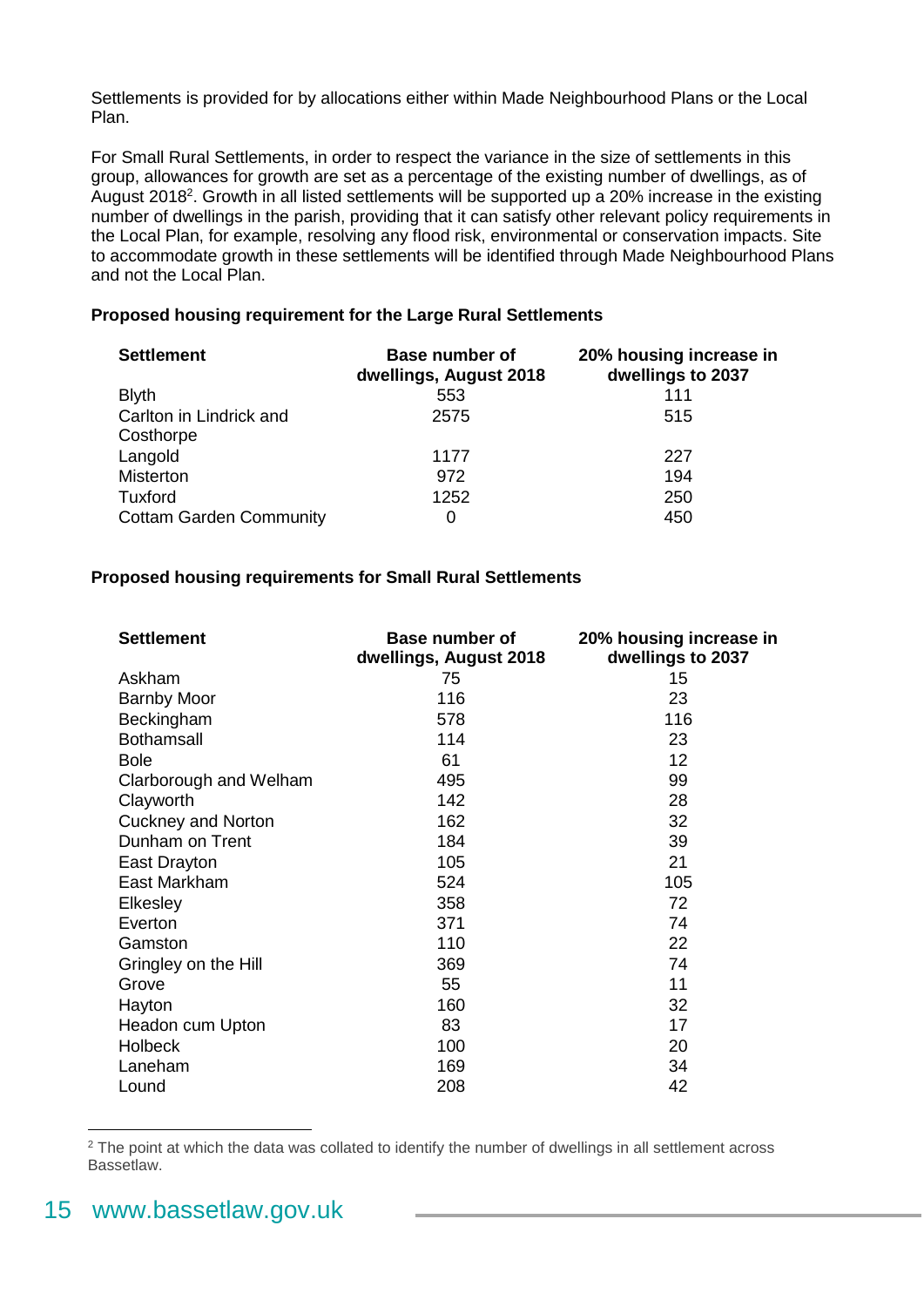Settlements is provided for by allocations either within Made Neighbourhood Plans or the Local Plan.

For Small Rural Settlements, in order to respect the variance in the size of settlements in this group, allowances for growth are set as a percentage of the existing number of dwellings, as of August 2018<sup>2</sup>. Growth in all listed settlements will be supported up a 20% increase in the existing number of dwellings in the parish, providing that it can satisfy other relevant policy requirements in the Local Plan, for example, resolving any flood risk, environmental or conservation impacts. Site to accommodate growth in these settlements will be identified through Made Neighbourhood Plans and not the Local Plan.

#### **Proposed housing requirement for the Large Rural Settlements**

| <b>Settlement</b>              | <b>Base number of</b><br>dwellings, August 2018 | 20% housing increase in<br>dwellings to 2037 |
|--------------------------------|-------------------------------------------------|----------------------------------------------|
| <b>Blyth</b>                   | 553                                             | 111                                          |
| Carlton in Lindrick and        | 2575                                            | 515                                          |
| Costhorpe                      |                                                 |                                              |
| Langold                        | 1177                                            | 227                                          |
| Misterton                      | 972                                             | 194                                          |
| Tuxford                        | 1252                                            | 250                                          |
| <b>Cottam Garden Community</b> | 0                                               | 450                                          |

#### **Proposed housing requirements for Small Rural Settlements**

| <b>Settlement</b>         | <b>Base number of</b><br>dwellings, August 2018 | 20% housing increase in<br>dwellings to 2037 |
|---------------------------|-------------------------------------------------|----------------------------------------------|
| Askham                    | 75                                              | 15                                           |
| <b>Barnby Moor</b>        | 116                                             | 23                                           |
| Beckingham                | 578                                             | 116                                          |
| <b>Bothamsall</b>         | 114                                             | 23                                           |
| <b>Bole</b>               | 61                                              | 12                                           |
| Clarborough and Welham    | 495                                             | 99                                           |
| Clayworth                 | 142                                             | 28                                           |
| <b>Cuckney and Norton</b> | 162                                             | 32                                           |
| Dunham on Trent           | 184                                             | 39                                           |
| East Drayton              | 105                                             | 21                                           |
| East Markham              | 524                                             | 105                                          |
| Elkesley                  | 358                                             | 72                                           |
| Everton                   | 371                                             | 74                                           |
| Gamston                   | 110                                             | 22                                           |
| Gringley on the Hill      | 369                                             | 74                                           |
| Grove                     | 55                                              | 11                                           |
| Hayton                    | 160                                             | 32                                           |
| Headon cum Upton          | 83                                              | 17                                           |
| <b>Holbeck</b>            | 100                                             | 20                                           |
| Laneham                   | 169                                             | 34                                           |
| Lound                     | 208                                             | 42                                           |

<sup>2</sup> The point at which the data was collated to identify the number of dwellings in all settlement across Bassetlaw.

1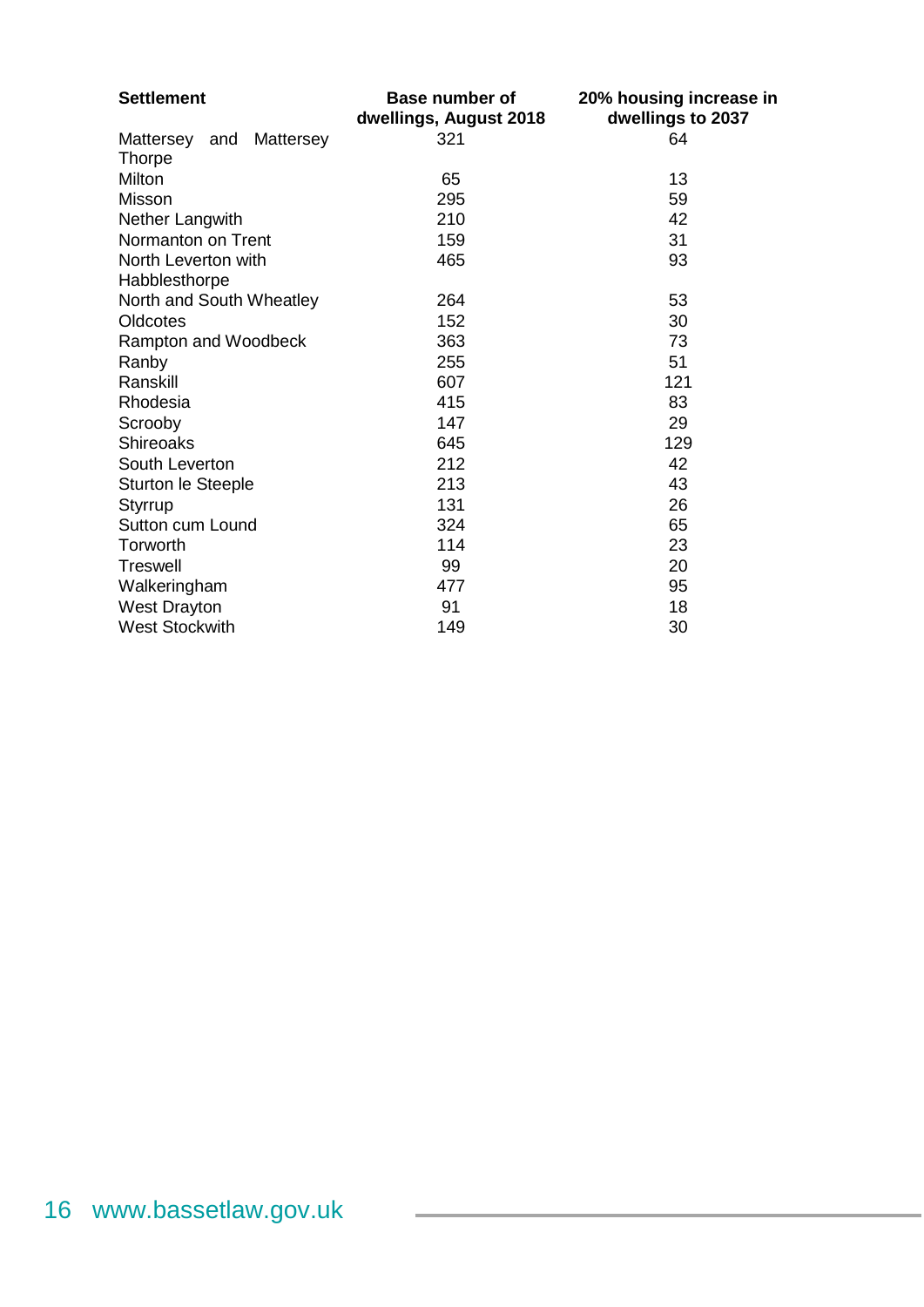| <b>Settlement</b>             | <b>Base number of</b><br>dwellings, August 2018 | 20% housing increase in<br>dwellings to 2037 |
|-------------------------------|-------------------------------------------------|----------------------------------------------|
| Mattersey<br>and<br>Mattersey | 321                                             | 64                                           |
| <b>Thorpe</b>                 |                                                 |                                              |
| Milton                        | 65                                              | 13                                           |
| Misson                        | 295                                             | 59                                           |
| Nether Langwith               | 210                                             | 42                                           |
| Normanton on Trent            | 159                                             | 31                                           |
| North Leverton with           | 465                                             | 93                                           |
| Habblesthorpe                 |                                                 |                                              |
| North and South Wheatley      | 264                                             | 53                                           |
| Oldcotes                      | 152                                             | 30                                           |
| Rampton and Woodbeck          | 363                                             | 73                                           |
| Ranby                         | 255                                             | 51                                           |
| Ranskill                      | 607                                             | 121                                          |
| Rhodesia                      | 415                                             | 83                                           |
| Scrooby                       | 147                                             | 29                                           |
| <b>Shireoaks</b>              | 645                                             | 129                                          |
| South Leverton                | 212                                             | 42                                           |
| Sturton le Steeple            | 213                                             | 43                                           |
| Styrrup                       | 131                                             | 26                                           |
| Sutton cum Lound              | 324                                             | 65                                           |
| Torworth                      | 114                                             | 23                                           |
| <b>Treswell</b>               | 99                                              | 20                                           |
| Walkeringham                  | 477                                             | 95                                           |
| <b>West Drayton</b>           | 91                                              | 18                                           |
| <b>West Stockwith</b>         | 149                                             | 30                                           |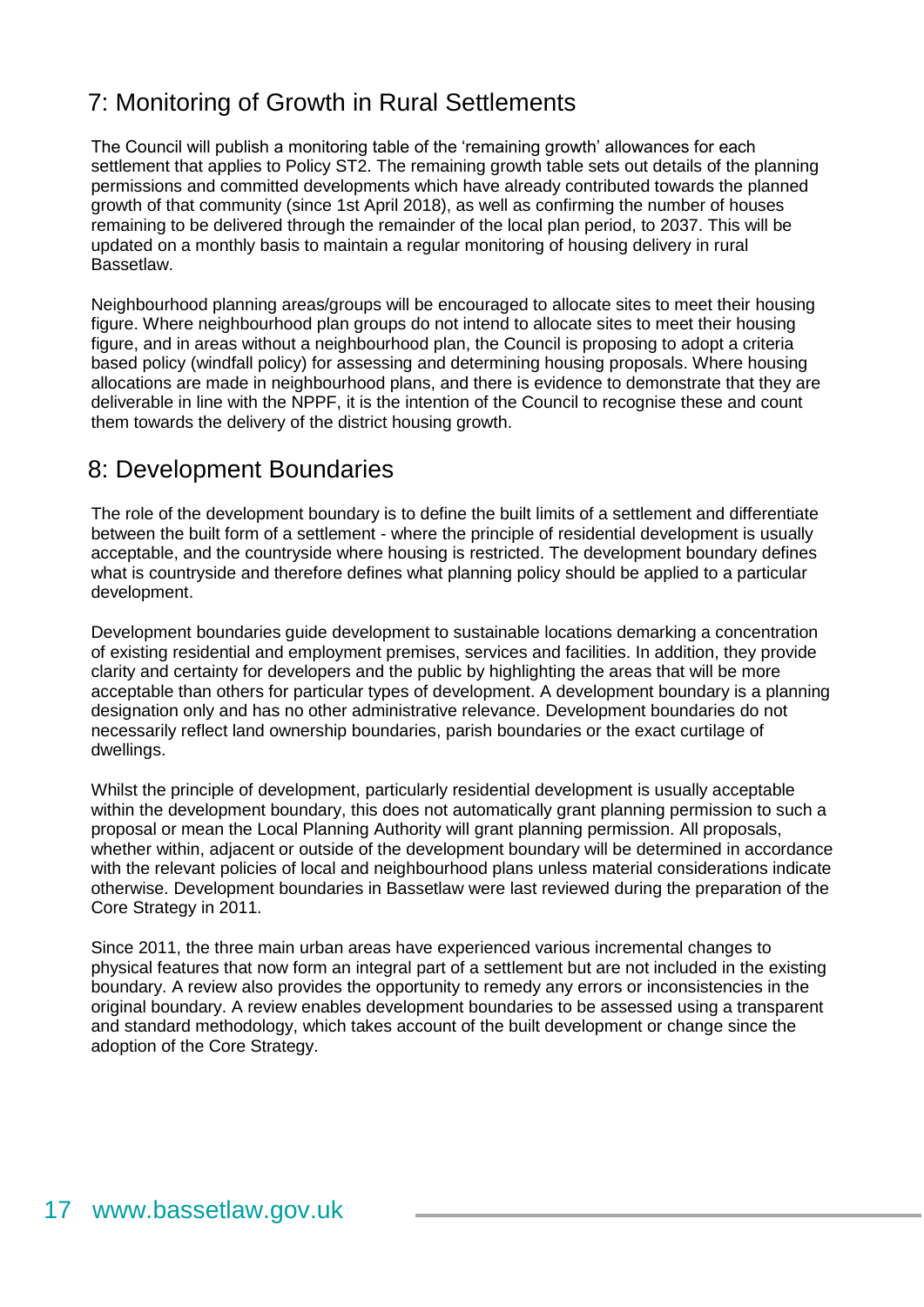### <span id="page-16-0"></span>7: Monitoring of Growth in Rural Settlements

The Council will publish a monitoring table of the 'remaining growth' allowances for each settlement that applies to Policy ST2. The remaining growth table sets out details of the planning permissions and committed developments which have already contributed towards the planned growth of that community (since 1st April 2018), as well as confirming the number of houses remaining to be delivered through the remainder of the local plan period, to 2037. This will be updated on a monthly basis to maintain a regular monitoring of housing delivery in rural Bassetlaw.

Neighbourhood planning areas/groups will be encouraged to allocate sites to meet their housing figure. Where neighbourhood plan groups do not intend to allocate sites to meet their housing figure, and in areas without a neighbourhood plan, the Council is proposing to adopt a criteria based policy (windfall policy) for assessing and determining housing proposals. Where housing allocations are made in neighbourhood plans, and there is evidence to demonstrate that they are deliverable in line with the NPPF, it is the intention of the Council to recognise these and count them towards the delivery of the district housing growth.

### <span id="page-16-1"></span>8: Development Boundaries

The role of the development boundary is to define the built limits of a settlement and differentiate between the built form of a settlement - where the principle of residential development is usually acceptable, and the countryside where housing is restricted. The development boundary defines what is countryside and therefore defines what planning policy should be applied to a particular development.

Development boundaries guide development to sustainable locations demarking a concentration of existing residential and employment premises, services and facilities. In addition, they provide clarity and certainty for developers and the public by highlighting the areas that will be more acceptable than others for particular types of development. A development boundary is a planning designation only and has no other administrative relevance. Development boundaries do not necessarily reflect land ownership boundaries, parish boundaries or the exact curtilage of dwellings.

Whilst the principle of development, particularly residential development is usually acceptable within the development boundary, this does not automatically grant planning permission to such a proposal or mean the Local Planning Authority will grant planning permission. All proposals, whether within, adjacent or outside of the development boundary will be determined in accordance with the relevant policies of local and neighbourhood plans unless material considerations indicate otherwise. Development boundaries in Bassetlaw were last reviewed during the preparation of the Core Strategy in 2011.

Since 2011, the three main urban areas have experienced various incremental changes to physical features that now form an integral part of a settlement but are not included in the existing boundary. A review also provides the opportunity to remedy any errors or inconsistencies in the original boundary. A review enables development boundaries to be assessed using a transparent and standard methodology, which takes account of the built development or change since the adoption of the Core Strategy.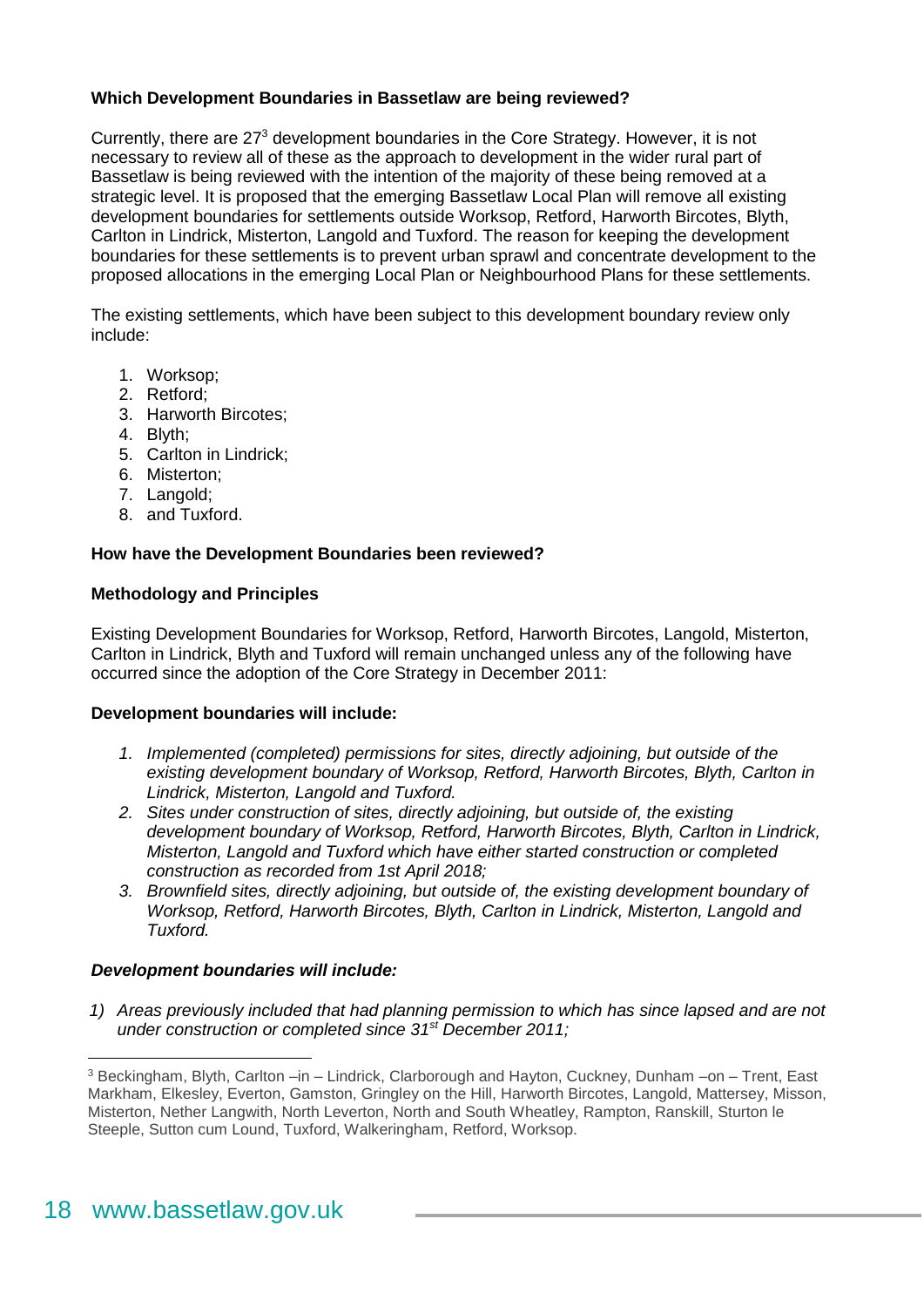#### **Which Development Boundaries in Bassetlaw are being reviewed?**

Currently, there are 27<sup>3</sup> development boundaries in the Core Strategy. However, it is not necessary to review all of these as the approach to development in the wider rural part of Bassetlaw is being reviewed with the intention of the majority of these being removed at a strategic level. It is proposed that the emerging Bassetlaw Local Plan will remove all existing development boundaries for settlements outside Worksop, Retford, Harworth Bircotes, Blyth, Carlton in Lindrick, Misterton, Langold and Tuxford. The reason for keeping the development boundaries for these settlements is to prevent urban sprawl and concentrate development to the proposed allocations in the emerging Local Plan or Neighbourhood Plans for these settlements.

The existing settlements, which have been subject to this development boundary review only include:

- 1. Worksop;
- 2. Retford;
- 3. Harworth Bircotes;
- 4. Blyth;
- 5. Carlton in Lindrick;
- 6. Misterton;
- 7. Langold;
- 8. and Tuxford.

#### **How have the Development Boundaries been reviewed?**

#### **Methodology and Principles**

Existing Development Boundaries for Worksop, Retford, Harworth Bircotes, Langold, Misterton, Carlton in Lindrick, Blyth and Tuxford will remain unchanged unless any of the following have occurred since the adoption of the Core Strategy in December 2011:

#### **Development boundaries will include:**

- *1. Implemented (completed) permissions for sites, directly adjoining, but outside of the existing development boundary of Worksop, Retford, Harworth Bircotes, Blyth, Carlton in Lindrick, Misterton, Langold and Tuxford.*
- *2. Sites under construction of sites, directly adjoining, but outside of, the existing development boundary of Worksop, Retford, Harworth Bircotes, Blyth, Carlton in Lindrick, Misterton, Langold and Tuxford which have either started construction or completed construction as recorded from 1st April 2018;*
- *3. Brownfield sites, directly adjoining, but outside of, the existing development boundary of Worksop, Retford, Harworth Bircotes, Blyth, Carlton in Lindrick, Misterton, Langold and Tuxford.*

#### *Development boundaries will include:*

*1) Areas previously included that had planning permission to which has since lapsed and are not under construction or completed since 31st December 2011;*

<u>.</u>

<sup>3</sup> Beckingham, Blyth, Carlton –in – Lindrick, Clarborough and Hayton, Cuckney, Dunham –on – Trent, East Markham, Elkesley, Everton, Gamston, Gringley on the Hill, Harworth Bircotes, Langold, Mattersey, Misson, Misterton, Nether Langwith, North Leverton, North and South Wheatley, Rampton, Ranskill, Sturton le Steeple, Sutton cum Lound, Tuxford, Walkeringham, Retford, Worksop.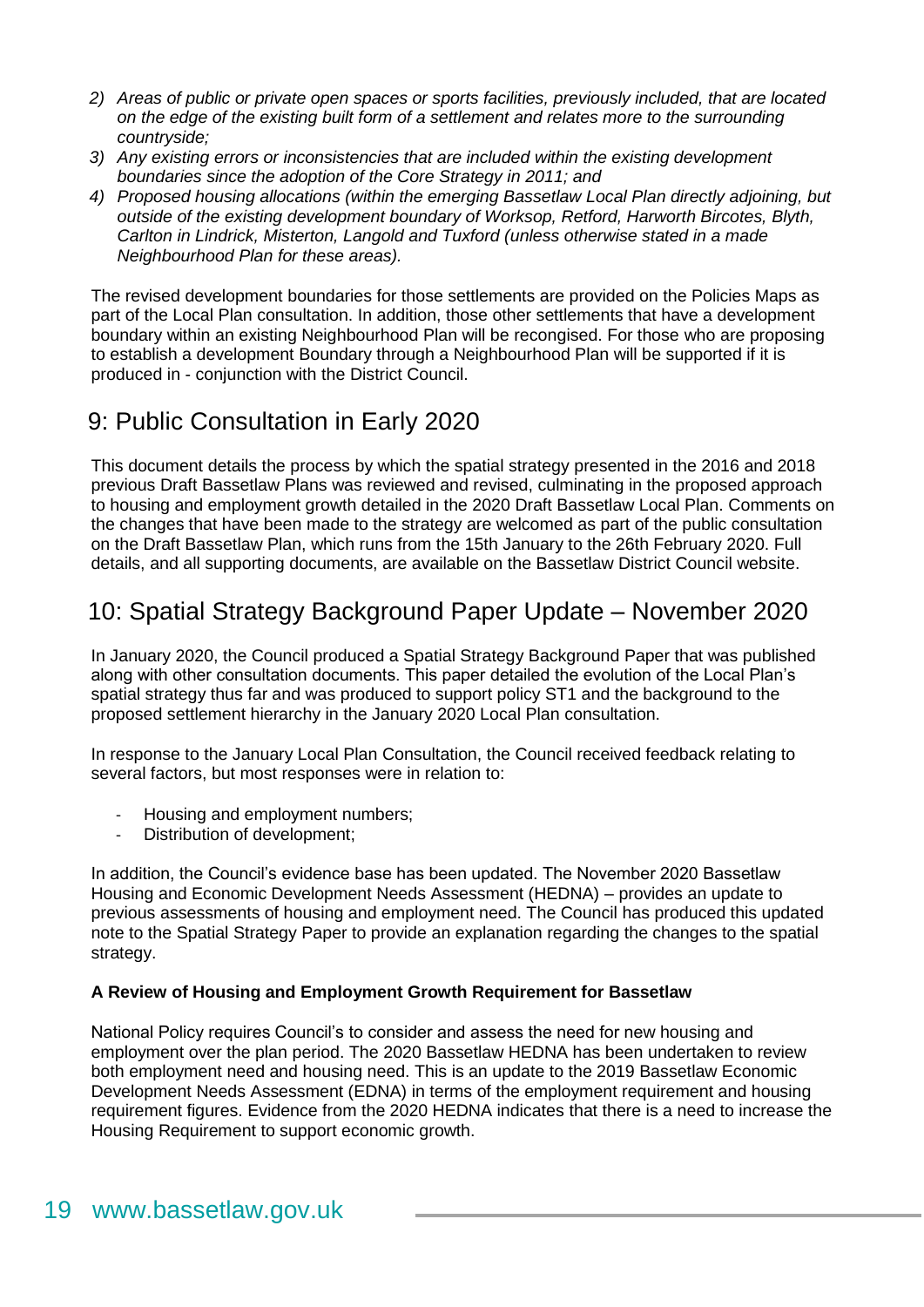- *2) Areas of public or private open spaces or sports facilities, previously included, that are located on the edge of the existing built form of a settlement and relates more to the surrounding countryside;*
- *3) Any existing errors or inconsistencies that are included within the existing development boundaries since the adoption of the Core Strategy in 2011; and*
- *4) Proposed housing allocations (within the emerging Bassetlaw Local Plan directly adjoining, but outside of the existing development boundary of Worksop, Retford, Harworth Bircotes, Blyth, Carlton in Lindrick, Misterton, Langold and Tuxford (unless otherwise stated in a made Neighbourhood Plan for these areas).*

The revised development boundaries for those settlements are provided on the Policies Maps as part of the Local Plan consultation. In addition, those other settlements that have a development boundary within an existing Neighbourhood Plan will be recongised. For those who are proposing to establish a development Boundary through a Neighbourhood Plan will be supported if it is produced in - conjunction with the District Council.

### <span id="page-18-0"></span>9: Public Consultation in Early 2020

This document details the process by which the spatial strategy presented in the 2016 and 2018 previous Draft Bassetlaw Plans was reviewed and revised, culminating in the proposed approach to housing and employment growth detailed in the 2020 Draft Bassetlaw Local Plan. Comments on the changes that have been made to the strategy are welcomed as part of the public consultation on the Draft Bassetlaw Plan, which runs from the 15th January to the 26th February 2020. Full details, and all supporting documents, are available on the Bassetlaw District Council website.

### <span id="page-18-1"></span>10: Spatial Strategy Background Paper Update – November 2020

In January 2020, the Council produced a Spatial Strategy Background Paper that was published along with other consultation documents. This paper detailed the evolution of the Local Plan's spatial strategy thus far and was produced to support policy ST1 and the background to the proposed settlement hierarchy in the January 2020 Local Plan consultation.

In response to the January Local Plan Consultation, the Council received feedback relating to several factors, but most responses were in relation to:

- Housing and employment numbers;
- Distribution of development;

In addition, the Council's evidence base has been updated. The November 2020 Bassetlaw Housing and Economic Development Needs Assessment (HEDNA) – provides an update to previous assessments of housing and employment need. The Council has produced this updated note to the Spatial Strategy Paper to provide an explanation regarding the changes to the spatial strategy.

#### **A Review of Housing and Employment Growth Requirement for Bassetlaw**

National Policy requires Council's to consider and assess the need for new housing and employment over the plan period. The 2020 Bassetlaw HEDNA has been undertaken to review both employment need and housing need. This is an update to the 2019 Bassetlaw Economic Development Needs Assessment (EDNA) in terms of the employment requirement and housing requirement figures. Evidence from the 2020 HEDNA indicates that there is a need to increase the Housing Requirement to support economic growth.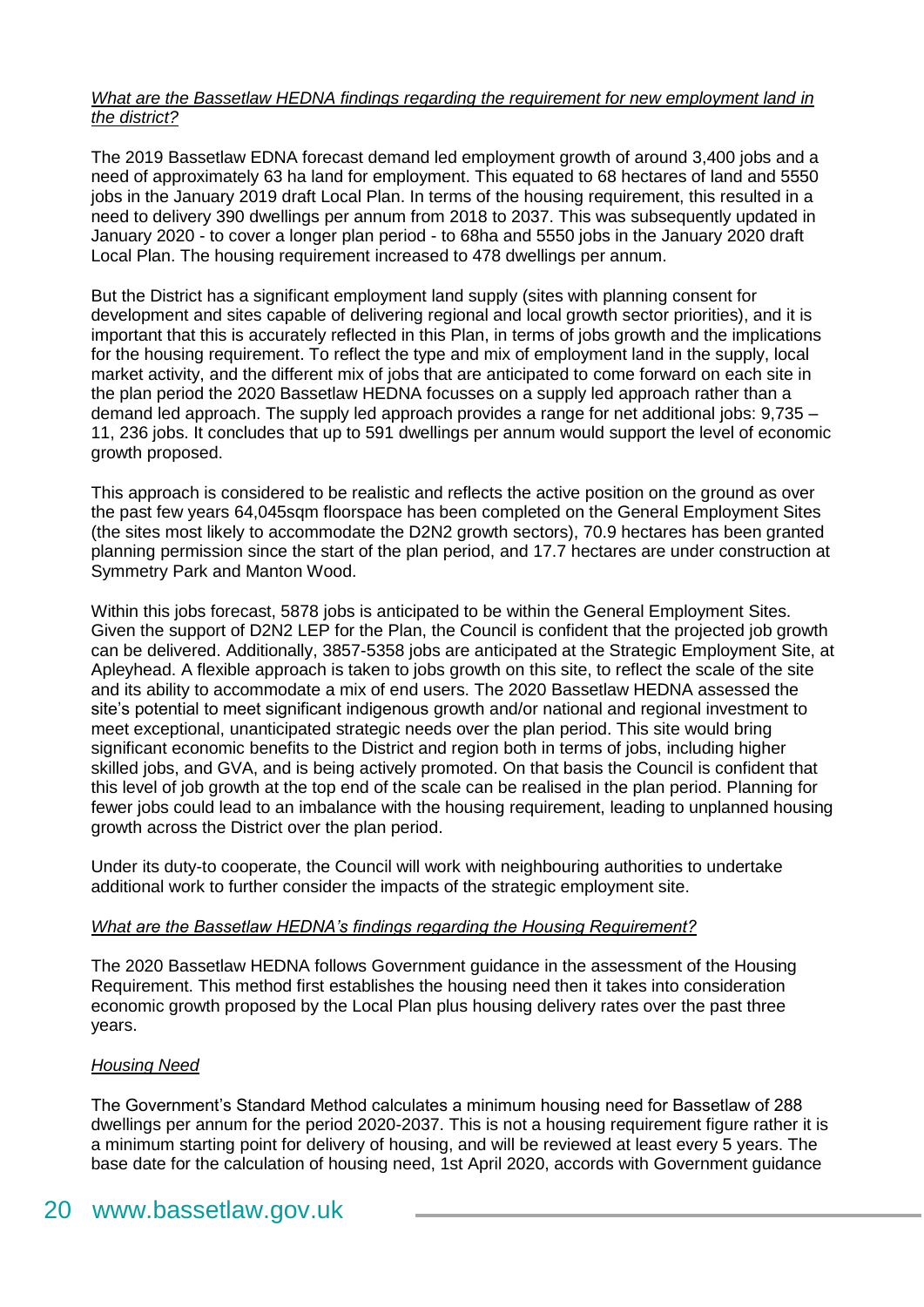#### *What are the Bassetlaw HEDNA findings regarding the requirement for new employment land in the district?*

The 2019 Bassetlaw EDNA forecast demand led employment growth of around 3,400 jobs and a need of approximately 63 ha land for employment. This equated to 68 hectares of land and 5550 jobs in the January 2019 draft Local Plan. In terms of the housing requirement, this resulted in a need to delivery 390 dwellings per annum from 2018 to 2037. This was subsequently updated in January 2020 - to cover a longer plan period - to 68ha and 5550 jobs in the January 2020 draft Local Plan. The housing requirement increased to 478 dwellings per annum.

But the District has a significant employment land supply (sites with planning consent for development and sites capable of delivering regional and local growth sector priorities), and it is important that this is accurately reflected in this Plan, in terms of jobs growth and the implications for the housing requirement. To reflect the type and mix of employment land in the supply, local market activity, and the different mix of jobs that are anticipated to come forward on each site in the plan period the 2020 Bassetlaw HEDNA focusses on a supply led approach rather than a demand led approach. The supply led approach provides a range for net additional jobs: 9,735 – 11, 236 jobs. It concludes that up to 591 dwellings per annum would support the level of economic growth proposed.

This approach is considered to be realistic and reflects the active position on the ground as over the past few years 64,045sqm floorspace has been completed on the General Employment Sites (the sites most likely to accommodate the D2N2 growth sectors), 70.9 hectares has been granted planning permission since the start of the plan period, and 17.7 hectares are under construction at Symmetry Park and Manton Wood.

Within this jobs forecast, 5878 jobs is anticipated to be within the General Employment Sites. Given the support of D2N2 LEP for the Plan, the Council is confident that the projected job growth can be delivered. Additionally, 3857-5358 jobs are anticipated at the Strategic Employment Site, at Apleyhead. A flexible approach is taken to jobs growth on this site, to reflect the scale of the site and its ability to accommodate a mix of end users. The 2020 Bassetlaw HEDNA assessed the site's potential to meet significant indigenous growth and/or national and regional investment to meet exceptional, unanticipated strategic needs over the plan period. This site would bring significant economic benefits to the District and region both in terms of jobs, including higher skilled jobs, and GVA, and is being actively promoted. On that basis the Council is confident that this level of job growth at the top end of the scale can be realised in the plan period. Planning for fewer jobs could lead to an imbalance with the housing requirement, leading to unplanned housing growth across the District over the plan period.

Under its duty-to cooperate, the Council will work with neighbouring authorities to undertake additional work to further consider the impacts of the strategic employment site.

#### *What are the Bassetlaw HEDNA's findings regarding the Housing Requirement?*

The 2020 Bassetlaw HEDNA follows Government guidance in the assessment of the Housing Requirement. This method first establishes the housing need then it takes into consideration economic growth proposed by the Local Plan plus housing delivery rates over the past three years.

#### *Housing Need*

The Government's Standard Method calculates a minimum housing need for Bassetlaw of 288 dwellings per annum for the period 2020-2037. This is not a housing requirement figure rather it is a minimum starting point for delivery of housing, and will be reviewed at least every 5 years. The base date for the calculation of housing need, 1st April 2020, accords with Government guidance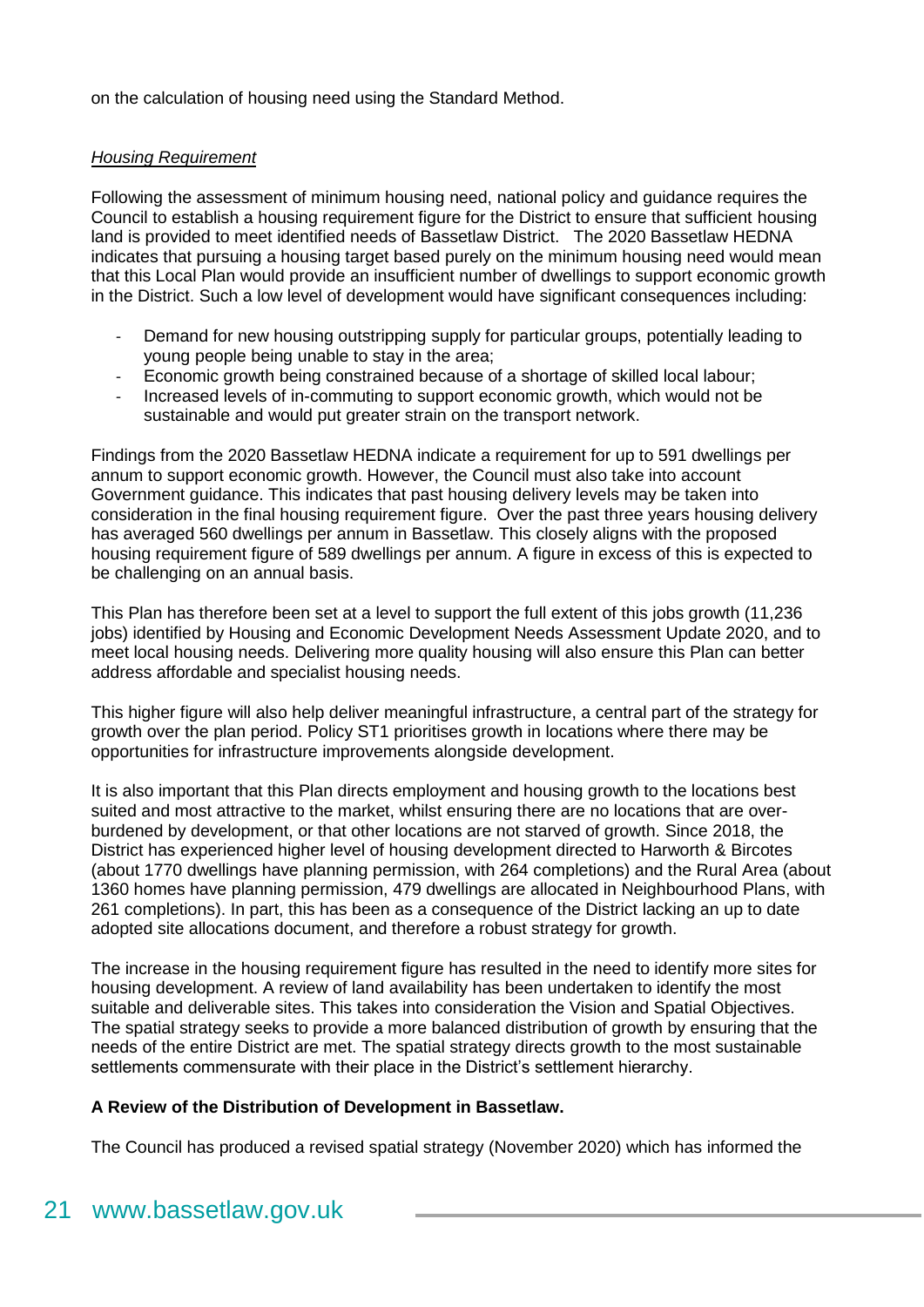on the calculation of housing need using the Standard Method.

#### *Housing Requirement*

Following the assessment of minimum housing need, national policy and guidance requires the Council to establish a housing requirement figure for the District to ensure that sufficient housing land is provided to meet identified needs of Bassetlaw District. The 2020 Bassetlaw HEDNA indicates that pursuing a housing target based purely on the minimum housing need would mean that this Local Plan would provide an insufficient number of dwellings to support economic growth in the District. Such a low level of development would have significant consequences including:

- Demand for new housing outstripping supply for particular groups, potentially leading to young people being unable to stay in the area;
- Economic growth being constrained because of a shortage of skilled local labour;
- Increased levels of in-commuting to support economic growth, which would not be sustainable and would put greater strain on the transport network.

Findings from the 2020 Bassetlaw HEDNA indicate a requirement for up to 591 dwellings per annum to support economic growth. However, the Council must also take into account Government guidance. This indicates that past housing delivery levels may be taken into consideration in the final housing requirement figure. Over the past three years housing delivery has averaged 560 dwellings per annum in Bassetlaw. This closely aligns with the proposed housing requirement figure of 589 dwellings per annum. A figure in excess of this is expected to be challenging on an annual basis.

This Plan has therefore been set at a level to support the full extent of this jobs growth (11,236 jobs) identified by Housing and Economic Development Needs Assessment Update 2020, and to meet local housing needs. Delivering more quality housing will also ensure this Plan can better address affordable and specialist housing needs.

This higher figure will also help deliver meaningful infrastructure, a central part of the strategy for growth over the plan period. Policy ST1 prioritises growth in locations where there may be opportunities for infrastructure improvements alongside development.

It is also important that this Plan directs employment and housing growth to the locations best suited and most attractive to the market, whilst ensuring there are no locations that are overburdened by development, or that other locations are not starved of growth. Since 2018, the District has experienced higher level of housing development directed to Harworth & Bircotes (about 1770 dwellings have planning permission, with 264 completions) and the Rural Area (about 1360 homes have planning permission, 479 dwellings are allocated in Neighbourhood Plans, with 261 completions). In part, this has been as a consequence of the District lacking an up to date adopted site allocations document, and therefore a robust strategy for growth.

The increase in the housing requirement figure has resulted in the need to identify more sites for housing development. A review of land availability has been undertaken to identify the most suitable and deliverable sites. This takes into consideration the Vision and Spatial Objectives. The spatial strategy seeks to provide a more balanced distribution of growth by ensuring that the needs of the entire District are met. The spatial strategy directs growth to the most sustainable settlements commensurate with their place in the District's settlement hierarchy.

#### **A Review of the Distribution of Development in Bassetlaw.**

The Council has produced a revised spatial strategy (November 2020) which has informed the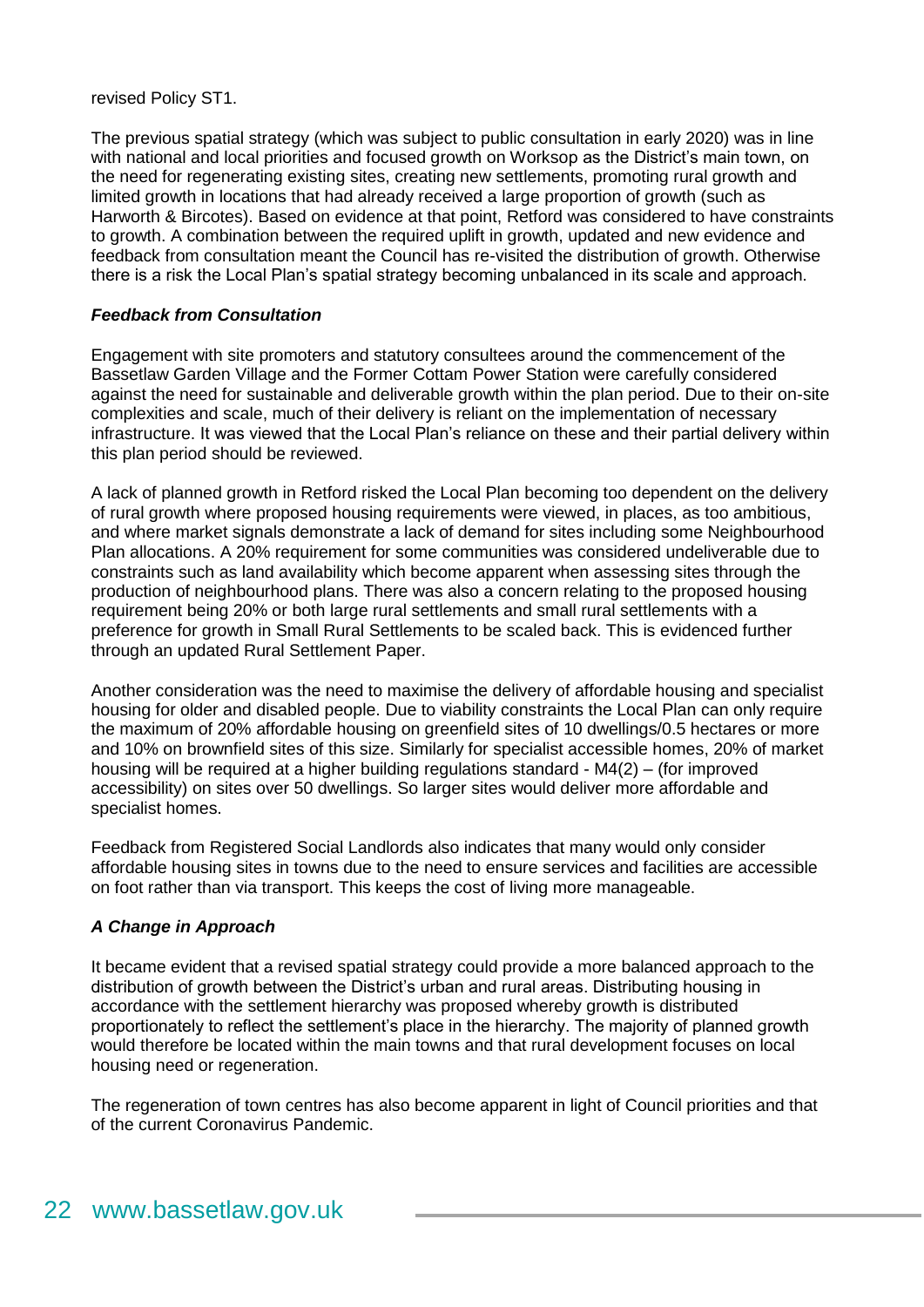revised Policy ST1.

The previous spatial strategy (which was subject to public consultation in early 2020) was in line with national and local priorities and focused growth on Worksop as the District's main town, on the need for regenerating existing sites, creating new settlements, promoting rural growth and limited growth in locations that had already received a large proportion of growth (such as Harworth & Bircotes). Based on evidence at that point, Retford was considered to have constraints to growth. A combination between the required uplift in growth, updated and new evidence and feedback from consultation meant the Council has re-visited the distribution of growth. Otherwise there is a risk the Local Plan's spatial strategy becoming unbalanced in its scale and approach.

#### *Feedback from Consultation*

Engagement with site promoters and statutory consultees around the commencement of the Bassetlaw Garden Village and the Former Cottam Power Station were carefully considered against the need for sustainable and deliverable growth within the plan period. Due to their on-site complexities and scale, much of their delivery is reliant on the implementation of necessary infrastructure. It was viewed that the Local Plan's reliance on these and their partial delivery within this plan period should be reviewed.

A lack of planned growth in Retford risked the Local Plan becoming too dependent on the delivery of rural growth where proposed housing requirements were viewed, in places, as too ambitious, and where market signals demonstrate a lack of demand for sites including some Neighbourhood Plan allocations. A 20% requirement for some communities was considered undeliverable due to constraints such as land availability which become apparent when assessing sites through the production of neighbourhood plans. There was also a concern relating to the proposed housing requirement being 20% or both large rural settlements and small rural settlements with a preference for growth in Small Rural Settlements to be scaled back. This is evidenced further through an updated Rural Settlement Paper.

Another consideration was the need to maximise the delivery of affordable housing and specialist housing for older and disabled people. Due to viability constraints the Local Plan can only require the maximum of 20% affordable housing on greenfield sites of 10 dwellings/0.5 hectares or more and 10% on brownfield sites of this size. Similarly for specialist accessible homes, 20% of market housing will be required at a higher building regulations standard - M4(2) – (for improved accessibility) on sites over 50 dwellings. So larger sites would deliver more affordable and specialist homes.

Feedback from Registered Social Landlords also indicates that many would only consider affordable housing sites in towns due to the need to ensure services and facilities are accessible on foot rather than via transport. This keeps the cost of living more manageable.

#### *A Change in Approach*

It became evident that a revised spatial strategy could provide a more balanced approach to the distribution of growth between the District's urban and rural areas. Distributing housing in accordance with the settlement hierarchy was proposed whereby growth is distributed proportionately to reflect the settlement's place in the hierarchy. The majority of planned growth would therefore be located within the main towns and that rural development focuses on local housing need or regeneration.

The regeneration of town centres has also become apparent in light of Council priorities and that of the current Coronavirus Pandemic.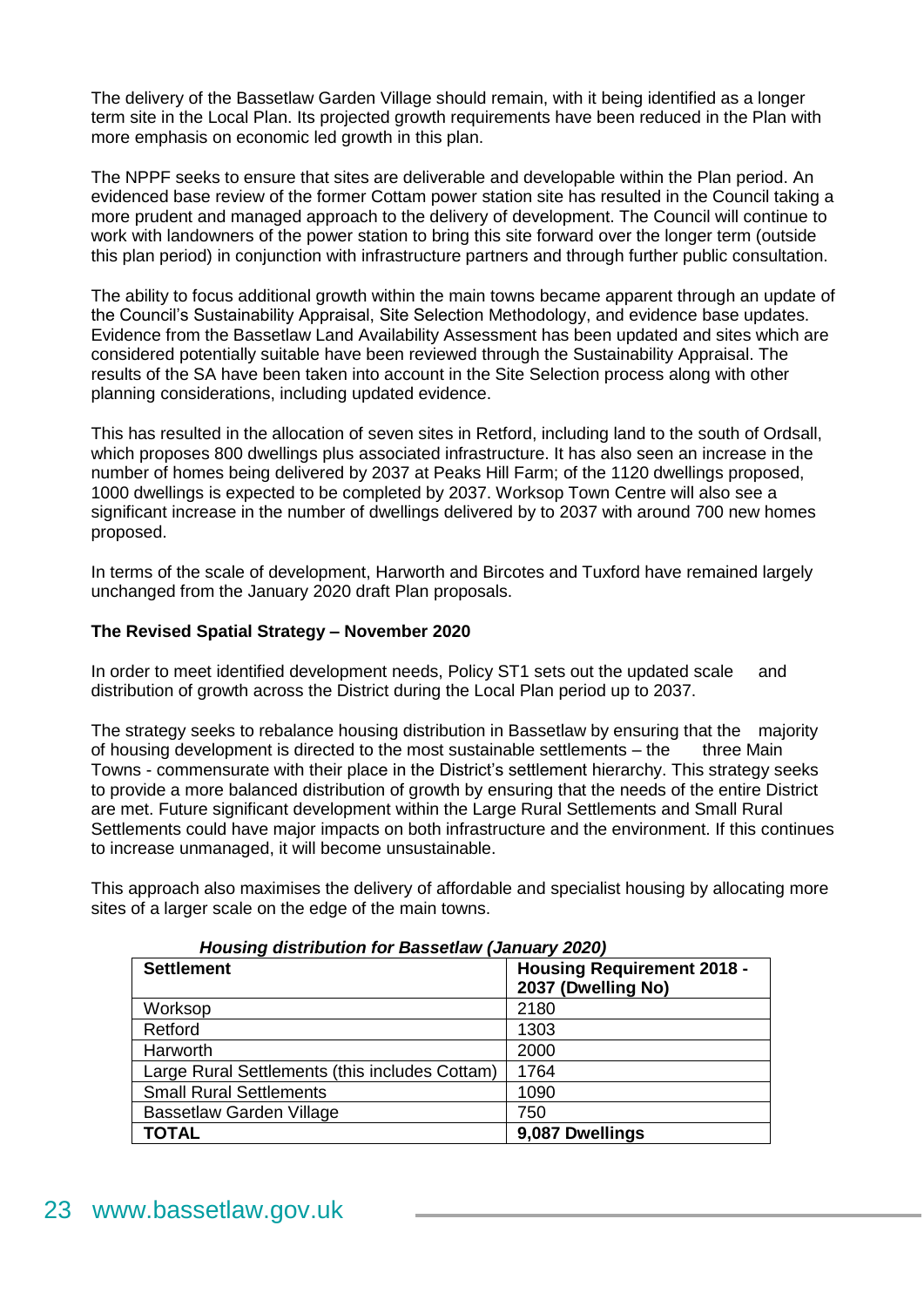The delivery of the Bassetlaw Garden Village should remain, with it being identified as a longer term site in the Local Plan. Its projected growth requirements have been reduced in the Plan with more emphasis on economic led growth in this plan.

The NPPF seeks to ensure that sites are deliverable and developable within the Plan period. An evidenced base review of the former Cottam power station site has resulted in the Council taking a more prudent and managed approach to the delivery of development. The Council will continue to work with landowners of the power station to bring this site forward over the longer term (outside this plan period) in conjunction with infrastructure partners and through further public consultation.

The ability to focus additional growth within the main towns became apparent through an update of the Council's Sustainability Appraisal, Site Selection Methodology, and evidence base updates. Evidence from the Bassetlaw Land Availability Assessment has been updated and sites which are considered potentially suitable have been reviewed through the Sustainability Appraisal. The results of the SA have been taken into account in the Site Selection process along with other planning considerations, including updated evidence.

This has resulted in the allocation of seven sites in Retford, including land to the south of Ordsall, which proposes 800 dwellings plus associated infrastructure. It has also seen an increase in the number of homes being delivered by 2037 at Peaks Hill Farm; of the 1120 dwellings proposed, 1000 dwellings is expected to be completed by 2037. Worksop Town Centre will also see a significant increase in the number of dwellings delivered by to 2037 with around 700 new homes proposed.

In terms of the scale of development, Harworth and Bircotes and Tuxford have remained largely unchanged from the January 2020 draft Plan proposals.

#### **The Revised Spatial Strategy – November 2020**

In order to meet identified development needs, Policy ST1 sets out the updated scale and distribution of growth across the District during the Local Plan period up to 2037.

The strategy seeks to rebalance housing distribution in Bassetlaw by ensuring that the majority of housing development is directed to the most sustainable settlements – the three Main Towns - commensurate with their place in the District's settlement hierarchy. This strategy seeks to provide a more balanced distribution of growth by ensuring that the needs of the entire District are met. Future significant development within the Large Rural Settlements and Small Rural Settlements could have major impacts on both infrastructure and the environment. If this continues to increase unmanaged, it will become unsustainable.

This approach also maximises the delivery of affordable and specialist housing by allocating more sites of a larger scale on the edge of the main towns.

| <b>Settlement</b>                              | <b>Housing Requirement 2018 -</b><br>2037 (Dwelling No) |
|------------------------------------------------|---------------------------------------------------------|
| Worksop                                        | 2180                                                    |
| Retford                                        | 1303                                                    |
| Harworth                                       | 2000                                                    |
| Large Rural Settlements (this includes Cottam) | 1764                                                    |
| <b>Small Rural Settlements</b>                 | 1090                                                    |
| Bassetlaw Garden Village                       | 750                                                     |
| <b>TOTAL</b>                                   | 9,087 Dwellings                                         |

#### *Housing distribution for Bassetlaw (January 2020)*